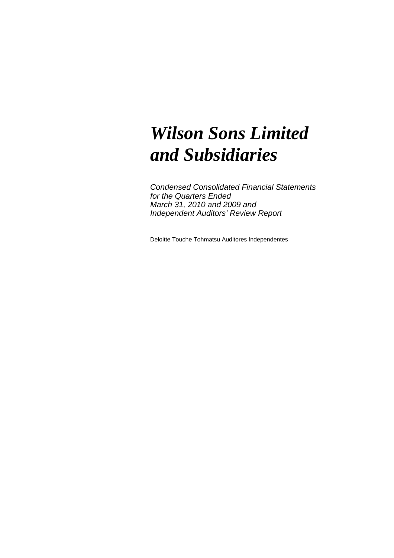# *Wilson Sons Limited and Subsidiaries*

Condensed Consolidated Financial Statements for the Quarters Ended March 31, 2010 and 2009 and Independent Auditors' Review Report

Deloitte Touche Tohmatsu Auditores Independentes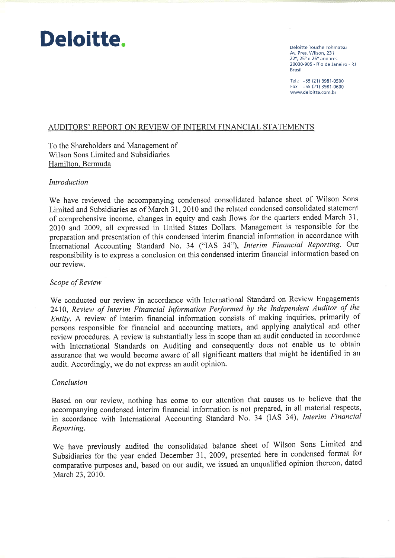# Deloitte.

Deloitte Touche Tohmatsu Av. Pres. Wilson, 231 22°, 25° e 26° andares 20030-905 - Rio de Janeiro - RJ **Brasil** 

Tel.: +55 (21) 3981-0500 Fax: +55 (21) 3981-0600 www.deloitte.com.br

## AUDITORS' REPORT ON REVIEW OF INTERIM FINANCIAL STATEMENTS

To the Shareholders and Management of Wilson Sons Limited and Subsidiaries Hamilton, Bermuda

#### Introduction

We have reviewed the accompanying condensed consolidated balance sheet of Wilson Sons Limited and Subsidiaries as of March 31, 2010 and the related condensed consolidated statement of comprehensive income, changes in equity and cash flows for the quarters ended March 31, 2010 and 2009, all expressed in United States Dollars. Management is responsible for the preparation and presentation of this condensed interim financial information in accordance with International Accounting Standard No. 34 ("IAS 34"), Interim Financial Reporting. Our responsibility is to express a conclusion on this condensed interim financial information based on our review.

#### Scope of Review

We conducted our review in accordance with International Standard on Review Engagements 2410, Review of Interim Financial Information Performed by the Independent Auditor of the Entity. A review of interim financial information consists of making inquiries, primarily of persons responsible for financial and accounting matters, and applying analytical and other review procedures. A review is substantially less in scope than an audit conducted in accordance with International Standards on Auditing and consequently does not enable us to obtain assurance that we would become aware of all significant matters that might be identified in an audit. Accordingly, we do not express an audit opinion.

### Conclusion

Based on our review, nothing has come to our attention that causes us to believe that the accompanying condensed interim financial information is not prepared, in all material respects, in accordance with International Accounting Standard No. 34 (IAS 34), Interim Financial Reporting.

We have previously audited the consolidated balance sheet of Wilson Sons Limited and Subsidiaries for the year ended December 31, 2009, presented here in condensed format for comparative purposes and, based on our audit, we issued an unqualified opinion thereon, dated March 23, 2010.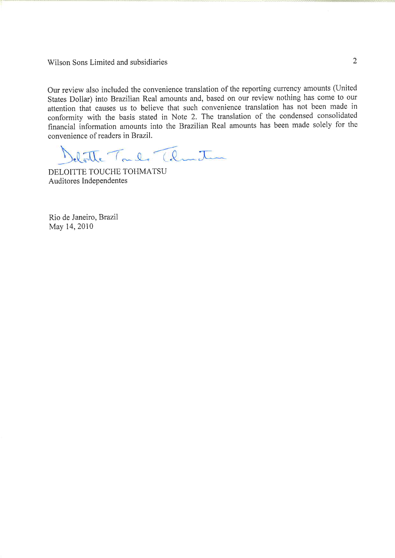Wilson Sons Limited and subsidiaries

Our review also included the convenience translation of the reporting currency amounts (United States Dollar) into Brazilian Real amounts and, based on our review nothing has come to our attention that causes us to believe that such convenience translation has not been made in conformity with the basis stated in Note 2. The translation of the condensed consolidated financial information amounts into the Brazilian Real amounts has been made solely for the convenience of readers in Brazil.

Delotte Trul Clauster

DELOITTE TOUCHE TOHMATSU Auditores Independentes

Rio de Janeiro, Brazil May 14, 2010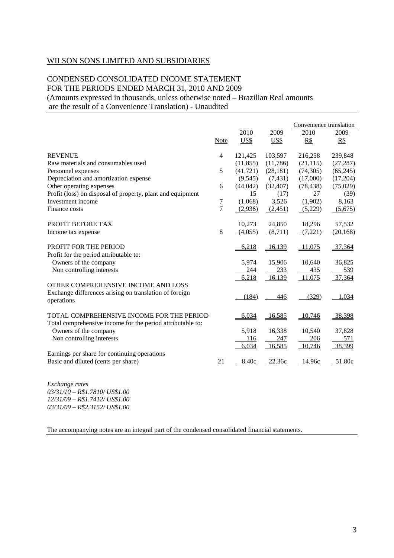## CONDENSED CONSOLIDATED INCOME STATEMENT FOR THE PERIODS ENDED MARCH 31, 2010 AND 2009

(Amounts expressed in thousands, unless otherwise noted – Brazilian Real amounts

are the result of a Convenience Translation) - Unaudited

|                                                            |       |           |           | Convenience translation |           |
|------------------------------------------------------------|-------|-----------|-----------|-------------------------|-----------|
|                                                            |       | 2010      | 2009      | 2010                    | 2009      |
|                                                            | Note  | US\$      | US\$      | R\$                     | $R\$      |
| <b>REVENUE</b>                                             | 4     | 121,425   | 103,597   | 216,258                 | 239,848   |
| Raw materials and consumables used                         |       | (11, 855) | (11,786)  | (21, 115)               | (27, 287) |
| Personnel expenses                                         | 5     | (41, 721) | (28, 181) | (74, 305)               | (65, 245) |
| Depreciation and amortization expense                      |       | (9,545)   | (7, 431)  | (17,000)                | (17,204)  |
| Other operating expenses                                   | 6     | (44, 042) | (32, 407) | (78, 438)               | (75,029)  |
| Profit (loss) on disposal of property, plant and equipment |       | 15        | (17)      | 27                      | (39)      |
| Investment income                                          | 7     | (1,068)   | 3,526     | (1,902)                 | 8,163     |
| Finance costs                                              | 7     | (2,936)   | (2,451)   | (5,229)                 | (5,675)   |
|                                                            |       |           |           |                         |           |
| PROFIT BEFORE TAX                                          |       | 10,273    | 24,850    | 18,296                  | 57,532    |
| Income tax expense                                         | $8\,$ | (4,055)   | (8,711)   | (7,221)                 | (20, 168) |
| PROFIT FOR THE PERIOD                                      |       | 6,218     | 16,139    | 11,075                  | 37,364    |
| Profit for the period attributable to:                     |       |           |           |                         |           |
| Owners of the company                                      |       | 5,974     | 15,906    | 10,640                  | 36,825    |
| Non controlling interests                                  |       | 244       | 233       | 435                     | 539       |
|                                                            |       | 6,218     | 16,139    | 11,075                  | 37,364    |
| OTHER COMPREHENSIVE INCOME AND LOSS                        |       |           |           |                         |           |
| Exchange differences arising on translation of foreign     |       |           |           |                         |           |
| operations                                                 |       | (184)     | 446       | (329)                   | 1,034     |
| TOTAL COMPREHENSIVE INCOME FOR THE PERIOD                  |       | 6,034     | 16,585    | 10,746                  | 38,398    |
| Total comprehensive income for the period attributable to: |       |           |           |                         |           |
| Owners of the company                                      |       | 5,918     | 16,338    | 10,540                  | 37,828    |
| Non controlling interests                                  |       | 116       | 247       | 206                     | 571       |
|                                                            |       | 6,034     | 16,585    | <u>10,746</u>           | 38,399    |
| Earnings per share for continuing operations               |       |           |           |                         |           |
| Basic and diluted (cents per share)                        | 21    | 8.40c     | 22.36c    | 14.96c                  | 51.80c    |
|                                                            |       |           |           |                         |           |

*Exchange rates 03/31/10 – R\$1.7810/ US\$1.00 12/31/09 – R\$1.7412/ US\$1.00 03/31/09 – R\$2.3152/ US\$1.00* 

The accompanying notes are an integral part of the condensed consolidated financial statements.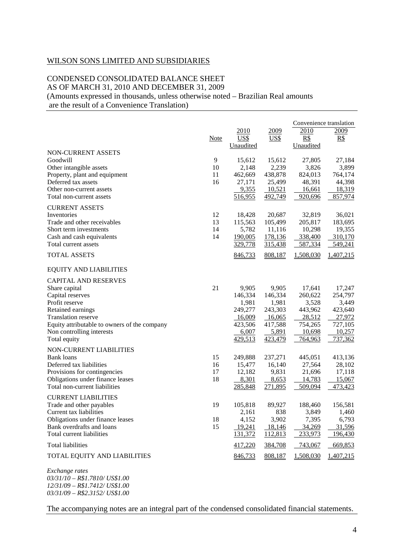## CONDENSED CONSOLIDATED BALANCE SHEET AS OF MARCH 31, 2010 AND DECEMBER 31, 2009

(Amounts expressed in thousands, unless otherwise noted – Brazilian Real amounts

are the result of a Convenience Translation)

|                                              |      |           |         | Convenience translation |           |
|----------------------------------------------|------|-----------|---------|-------------------------|-----------|
|                                              |      | 2010      | 2009    | 2010                    | 2009      |
|                                              | Note | US\$      | US\$    | R\$                     | R\$       |
|                                              |      | Unaudited |         | Unaudited               |           |
| NON-CURRENT ASSETS                           |      |           |         |                         |           |
| Goodwill                                     | 9    | 15,612    | 15,612  | 27,805                  | 27,184    |
| Other intangible assets                      | 10   | 2,148     | 2,239   | 3,826                   | 3,899     |
| Property, plant and equipment                | 11   | 462,669   | 438,878 | 824,013                 | 764,174   |
| Deferred tax assets                          | 16   | 27,171    | 25,499  | 48,391                  | 44,398    |
| Other non-current assets                     |      | 9,355     | 10,521  | 16,661                  | 18,319    |
| Total non-current assets                     |      | 516,955   | 492,749 | 920,696                 | 857,974   |
| <b>CURRENT ASSETS</b>                        |      |           |         |                         |           |
| Inventories                                  | 12   | 18,428    | 20,687  | 32,819                  | 36,021    |
| Trade and other receivables                  | 13   | 115,563   | 105,499 | 205,817                 | 183,695   |
| Short term investments                       | 14   | 5,782     | 11,116  | 10,298                  | 19,355    |
| Cash and cash equivalents                    | 14   | 190,005   | 178,136 | 338,400                 | 310,170   |
| Total current assets                         |      | 329,778   | 315,438 | 587,334                 | 549,241   |
| <b>TOTAL ASSETS</b>                          |      | 846,733   | 808,187 | 1,508,030               | 1,407,215 |
| <b>EQUITY AND LIABILITIES</b>                |      |           |         |                         |           |
| <b>CAPITAL AND RESERVES</b>                  |      |           |         |                         |           |
| Share capital                                | 21   | 9,905     | 9,905   | 17,641                  | 17,247    |
| Capital reserves                             |      | 146,334   | 146,334 | 260,622                 | 254,797   |
| Profit reserve                               |      | 1,981     | 1,981   | 3,528                   | 3,449     |
| Retained earnings                            |      | 249,277   | 243,303 | 443,962                 | 423,640   |
| <b>Translation reserve</b>                   |      | 16,009    | 16,065  | 28,512                  | 27,972    |
| Equity attributable to owners of the company |      | 423,506   | 417,588 | 754,265                 | 727,105   |
| Non controlling interests                    |      | 6,007     | 5,891   | 10,698                  | 10,257    |
| Total equity                                 |      | 429,513   | 423,479 | 764,963                 | 737,362   |
| <b>NON-CURRENT LIABILITIES</b>               |      |           |         |                         |           |
| <b>Bank</b> loans                            | 15   | 249,888   | 237,271 | 445,051                 | 413,136   |
| Deferred tax liabilities                     | 16   | 15,477    | 16,140  | 27,564                  | 28,102    |
| Provisions for contingencies                 | 17   | 12,182    | 9,831   | 21,696                  | 17,118    |
| Obligations under finance leases             | 18   | 8,301     | 8,653   | 14,783                  | 15,067    |
| Total non-current liabilities                |      | 285,848   | 271,895 | 509,094                 | 473,423   |
|                                              |      |           |         |                         |           |
| <b>CURRENT LIABILITIES</b>                   |      |           |         |                         |           |
| Trade and other payables                     | 19   | 105,818   | 89,927  | 188,460                 | 156,581   |
| Current tax liabilities                      |      | 2,161     | 838     | 3,849                   | 1,460     |
| Obligations under finance leases             | 18   | 4,152     | 3,902   | 7,395                   | 6,793     |
| Bank overdrafts and loans                    | 15   | 19,241    | 18,146  | 34,269                  | 31,596    |
| Total current liabilities                    |      | 131,372   | 112,813 | 233,973                 | 196,430   |
| <b>Total liabilities</b>                     |      | 417,220   | 384,708 | 743,067                 | 669,853   |
| TOTAL EQUITY AND LIABILITIES                 |      | 846,733   | 808,187 | 1,508,030               | 1,407,215 |
| Exchange rates                               |      |           |         |                         |           |

*03/31/10 – R\$1.7810/ US\$1.00 12/31/09 – R\$1.7412/ US\$1.00 03/31/09 – R\$2.3152/ US\$1.00* 

The accompanying notes are an integral part of the condensed consolidated financial statements.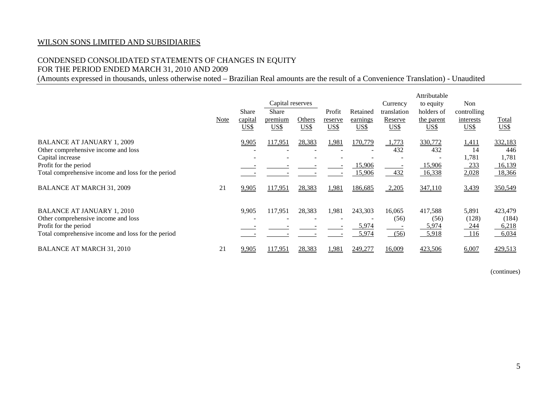### CONDENSED CONSOLIDATED STATEMENTS OF CHANGES IN EQUITY FOR THE PERIOD ENDED MARCH 31, 2010 AND 2009

(Amounts expressed in thousands, unless otherwise noted – Brazilian Real amounts are the result of a Convenience Translation) - Unaudited

|                                                    |      |             |                  |                  |             |             |             | Attributable |             |              |
|----------------------------------------------------|------|-------------|------------------|------------------|-------------|-------------|-------------|--------------|-------------|--------------|
|                                                    |      |             | Capital reserves |                  |             |             | Currency    | to equity    | Non         |              |
|                                                    |      | Share       | Share            |                  | Profit      | Retained    | translation | holders of   | controlling |              |
|                                                    | Note | capital     | premium          | Others           | reserve     | earnings    | Reserve     | the parent   | interests   | <u>Total</u> |
|                                                    |      | <b>US\$</b> | US\$             | $\overline{USS}$ | <b>US\$</b> | <b>US\$</b> | <u>US\$</u> | <b>US\$</b>  | <u>US\$</u> | US\$         |
| <b>BALANCE AT JANUARY 1, 2009</b>                  |      | 9,905       | 117,951          | 28,383           | 1,981       | 170,779     | 1,773       | 330,772      | 1,411       | 332,183      |
| Other comprehensive income and loss                |      |             |                  |                  |             |             | 432         | 432          | 14          | 446          |
| Capital increase                                   |      |             |                  |                  |             |             |             |              | 1,781       | 1,781        |
| Profit for the period                              |      |             |                  |                  |             | 15,906      |             | 15,906       | 233         | 16,139       |
| Total comprehensive income and loss for the period |      |             |                  |                  |             | 15,906      | 432         | 16,338       | 2,028       | 18,366       |
| <b>BALANCE AT MARCH 31, 2009</b>                   | 21   | 9,905       | <u>117,951</u>   | 28,383           | 1,981       | 186,685     | 2,205       | 347,110      | 3,439       | 350,549      |
| <b>BALANCE AT JANUARY 1, 2010</b>                  |      | 9,905       | 117,951          | 28,383           | 1,981       | 243,303     | 16,065      | 417,588      | 5,891       | 423,479      |
| Other comprehensive income and loss                |      |             |                  |                  |             |             | (56)        | (56)         | (128)       | (184)        |
| Profit for the period                              |      |             |                  |                  |             | 5,974       |             | 5,974        | 244         | 6,218        |
| Total comprehensive income and loss for the period |      |             |                  |                  |             | 5,974       | (56)        | 5,918        | $-116$      | 6,034        |
| <b>BALANCE AT MARCH 31, 2010</b>                   | 21   | 9,905       | 117,951          | 28,383           | 1,981       | 249,277     | 16,009      | 423,506      | 6,007       | 429,513      |

(continues)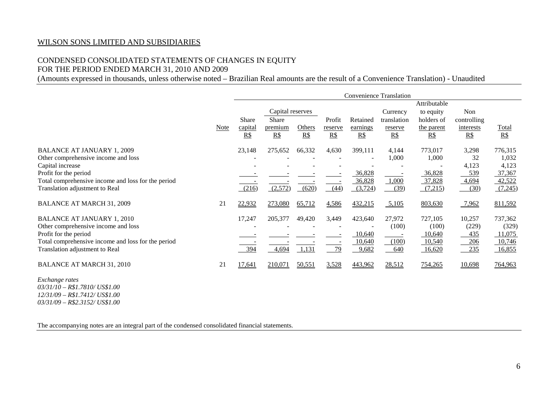### CONDENSED CONSOLIDATED STATEMENTS OF CHANGES IN EQUITY FOR THE PERIOD ENDED MARCH 31, 2010 AND 2009

(Amounts expressed in thousands, unless otherwise noted – Brazilian Real amounts are the result of a Convenience Translation) - Unaudited

|                                                    |      |         |                  |        |         |          | Convenience Translation |              |             |         |
|----------------------------------------------------|------|---------|------------------|--------|---------|----------|-------------------------|--------------|-------------|---------|
|                                                    |      |         |                  |        |         |          |                         | Attributable |             |         |
|                                                    |      |         | Capital reserves |        |         |          | Currency                | to equity    | Non         |         |
|                                                    |      | Share   | Share            |        | Profit  | Retained | translation             | holders of   | controlling |         |
|                                                    | Note | capital | premium          | Others | reserve | earnings | reserve                 | the parent   | interests   | Total   |
|                                                    |      | R\$     | R\$              | R\$    | R\$     | R\$      | R\$                     | R\$          | R\$         | R\$     |
| <b>BALANCE AT JANUARY 1, 2009</b>                  |      | 23,148  | 275,652          | 66,332 | 4,630   | 399,111  | 4,144                   | 773,017      | 3,298       | 776,315 |
| Other comprehensive income and loss                |      |         |                  |        |         |          | 1,000                   | 1,000        | 32          | 1,032   |
| Capital increase                                   |      |         |                  |        |         |          |                         |              | 4,123       | 4,123   |
| Profit for the period                              |      |         |                  |        |         | 36,828   |                         | 36,828       | 539         | 37,367  |
| Total comprehensive income and loss for the period |      |         |                  |        |         | 36,828   | 1,000                   | 37,828       | 4,694       | 42,522  |
| Translation adjustment to Real                     |      | (216)   | (2,572)          | (620)  | (44)    | (3,724)  | (39)                    | (7,215)      | (30)        | (7,245) |
| <b>BALANCE AT MARCH 31, 2009</b>                   | 21   | 22,932  | 273,080          | 65,712 | 4,586   | 432,215  | 5,105                   | 803,630      | 7,962       | 811,592 |
| <b>BALANCE AT JANUARY 1, 2010</b>                  |      | 17,247  | 205,377          | 49,420 | 3,449   | 423,640  | 27,972                  | 727,105      | 10,257      | 737,362 |
| Other comprehensive income and loss                |      |         |                  |        |         |          | (100)                   | (100)        | (229)       | (329)   |
| Profit for the period                              |      |         |                  |        |         | 10,640   |                         | 10,640       | 435         | 11,075  |
| Total comprehensive income and loss for the period |      |         |                  |        |         | 10,640   | (100)                   | 10,540       | 206         | 10,746  |
| Translation adjustment to Real                     |      | 394     | 4,694            | 1,131  | 79      | 9,682    | 640                     | 16,620       | 235         | 16,855  |
| <b>BALANCE AT MARCH 31, 2010</b>                   | 21   | 17,641  | 210,071          | 50,551 | 3,528   | 443,962  | 28,512                  | 754,265      | 10,698      | 764,963 |
| Exchange rates                                     |      |         |                  |        |         |          |                         |              |             |         |

*Exchange rates 03/31/10 – R\$1.7810/ US\$1.00 12/31/09 – R\$1.7412/ US\$1.00 03/31/09 – R\$2.3152/ US\$1.00* 

The accompanying notes are an integral part of the condensed consolidated financial statements.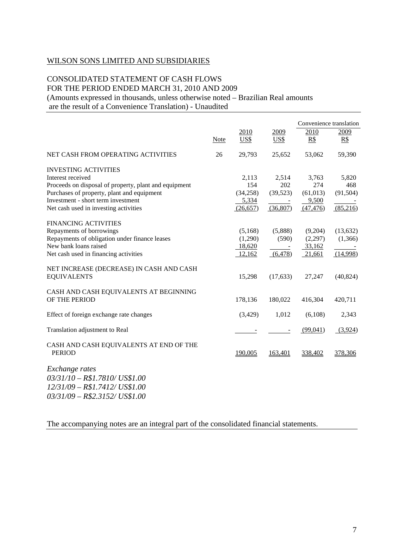# CONSOLIDATED STATEMENT OF CASH FLOWS FOR THE PERIOD ENDED MARCH 31, 2010 AND 2009

(Amounts expressed in thousands, unless otherwise noted – Brazilian Real amounts

are the result of a Convenience Translation) - Unaudited

|                                                                                                                                                                                                                                        |      |                                               |                                        | Convenience translation                         |                                       |
|----------------------------------------------------------------------------------------------------------------------------------------------------------------------------------------------------------------------------------------|------|-----------------------------------------------|----------------------------------------|-------------------------------------------------|---------------------------------------|
|                                                                                                                                                                                                                                        | Note | 2010<br>US\$                                  | 2009<br>US\$                           | 2010<br>$R\$                                    | 2009<br>$R\$                          |
| NET CASH FROM OPERATING ACTIVITIES                                                                                                                                                                                                     | 26   | 29,793                                        | 25,652                                 | 53,062                                          | 59,390                                |
| <b>INVESTING ACTIVITIES</b><br>Interest received<br>Proceeds on disposal of property, plant and equipment<br>Purchases of property, plant and equipment<br>Investment - short term investment<br>Net cash used in investing activities |      | 2,113<br>154<br>(34,258)<br>5,334<br>(26,657) | 2,514<br>202<br>(39, 523)<br>(36,807)  | 3,763<br>274<br>(61, 013)<br>9,500<br>(47, 476) | 5,820<br>468<br>(91, 504)<br>(85,216) |
| <b>FINANCING ACTIVITIES</b><br>Repayments of borrowings<br>Repayments of obligation under finance leases<br>New bank loans raised<br>Net cash used in financing activities                                                             |      | (5,168)<br>(1,290)<br>18,620<br>12,162        | (5,888)<br>(590)<br>$\sim$<br>(6, 478) | (9,204)<br>(2,297)<br>33,162<br>21,661          | (13, 632)<br>(1, 366)<br>(14,998)     |
| NET INCREASE (DECREASE) IN CASH AND CASH<br><b>EQUIVALENTS</b>                                                                                                                                                                         |      | 15,298                                        | (17,633)                               | 27,247                                          | (40, 824)                             |
| CASH AND CASH EQUIVALENTS AT BEGINNING<br>OF THE PERIOD                                                                                                                                                                                |      | 178,136                                       | 180,022                                | 416,304                                         | 420,711                               |
| Effect of foreign exchange rate changes                                                                                                                                                                                                |      | (3,429)                                       | 1,012                                  | (6,108)                                         | 2,343                                 |
| Translation adjustment to Real                                                                                                                                                                                                         |      |                                               |                                        | (99,041)                                        | (3,924)                               |
| CASH AND CASH EQUIVALENTS AT END OF THE<br><b>PERIOD</b>                                                                                                                                                                               |      | 190,005                                       | 163,401                                | 338,402                                         | 378,306                               |
| Exchange rates<br>03/31/10 - R\$1.7810/ US\$1.00                                                                                                                                                                                       |      |                                               |                                        |                                                 |                                       |

*12/31/09 – R\$1.7412/ US\$1.00 03/31/09 – R\$2.3152/ US\$1.00* 

The accompanying notes are an integral part of the consolidated financial statements.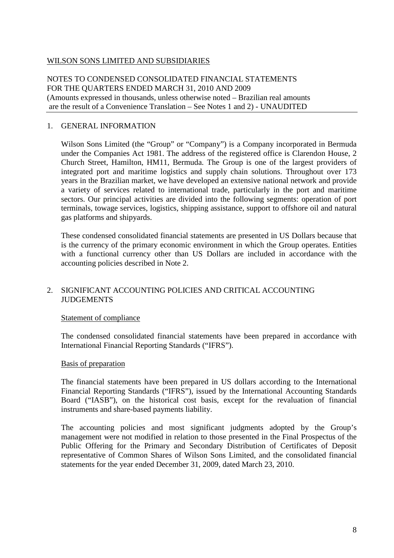## NOTES TO CONDENSED CONSOLIDATED FINANCIAL STATEMENTS FOR THE QUARTERS ENDED MARCH 31, 2010 AND 2009 (Amounts expressed in thousands, unless otherwise noted – Brazilian real amounts are the result of a Convenience Translation – See Notes 1 and 2) - UNAUDITED

#### 1. GENERAL INFORMATION

Wilson Sons Limited (the "Group" or "Company") is a Company incorporated in Bermuda under the Companies Act 1981. The address of the registered office is Clarendon House, 2 Church Street, Hamilton, HM11, Bermuda. The Group is one of the largest providers of integrated port and maritime logistics and supply chain solutions. Throughout over 173 years in the Brazilian market, we have developed an extensive national network and provide a variety of services related to international trade, particularly in the port and maritime sectors. Our principal activities are divided into the following segments: operation of port terminals, towage services, logistics, shipping assistance, support to offshore oil and natural gas platforms and shipyards.

These condensed consolidated financial statements are presented in US Dollars because that is the currency of the primary economic environment in which the Group operates. Entities with a functional currency other than US Dollars are included in accordance with the accounting policies described in Note 2.

## 2. SIGNIFICANT ACCOUNTING POLICIES AND CRITICAL ACCOUNTING JUDGEMENTS

### Statement of compliance

The condensed consolidated financial statements have been prepared in accordance with International Financial Reporting Standards ("IFRS").

### Basis of preparation

The financial statements have been prepared in US dollars according to the International Financial Reporting Standards ("IFRS"), issued by the International Accounting Standards Board ("IASB"), on the historical cost basis, except for the revaluation of financial instruments and share-based payments liability.

The accounting policies and most significant judgments adopted by the Group's management were not modified in relation to those presented in the Final Prospectus of the Public Offering for the Primary and Secondary Distribution of Certificates of Deposit representative of Common Shares of Wilson Sons Limited, and the consolidated financial statements for the year ended December 31, 2009, dated March 23, 2010.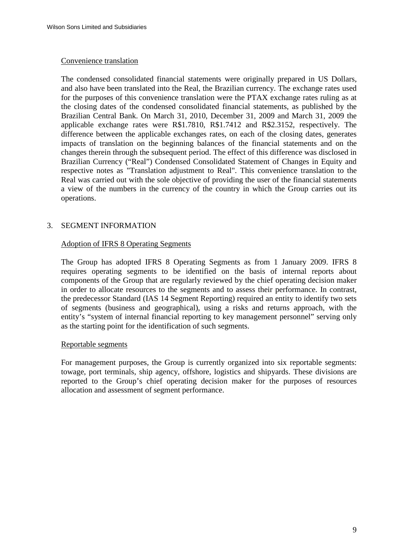#### Convenience translation

The condensed consolidated financial statements were originally prepared in US Dollars, and also have been translated into the Real, the Brazilian currency. The exchange rates used for the purposes of this convenience translation were the PTAX exchange rates ruling as at the closing dates of the condensed consolidated financial statements, as published by the Brazilian Central Bank. On March 31, 2010, December 31, 2009 and March 31, 2009 the applicable exchange rates were R\$1.7810, R\$1.7412 and R\$2.3152, respectively. The difference between the applicable exchanges rates, on each of the closing dates, generates impacts of translation on the beginning balances of the financial statements and on the changes therein through the subsequent period. The effect of this difference was disclosed in Brazilian Currency ("Real") Condensed Consolidated Statement of Changes in Equity and respective notes as "Translation adjustment to Real". This convenience translation to the Real was carried out with the sole objective of providing the user of the financial statements a view of the numbers in the currency of the country in which the Group carries out its operations.

## 3. SEGMENT INFORMATION

#### Adoption of IFRS 8 Operating Segments

The Group has adopted IFRS 8 Operating Segments as from 1 January 2009. IFRS 8 requires operating segments to be identified on the basis of internal reports about components of the Group that are regularly reviewed by the chief operating decision maker in order to allocate resources to the segments and to assess their performance. In contrast, the predecessor Standard (IAS 14 Segment Reporting) required an entity to identify two sets of segments (business and geographical), using a risks and returns approach, with the entity's "system of internal financial reporting to key management personnel" serving only as the starting point for the identification of such segments.

#### Reportable segments

For management purposes, the Group is currently organized into six reportable segments: towage, port terminals, ship agency, offshore, logistics and shipyards. These divisions are reported to the Group's chief operating decision maker for the purposes of resources allocation and assessment of segment performance.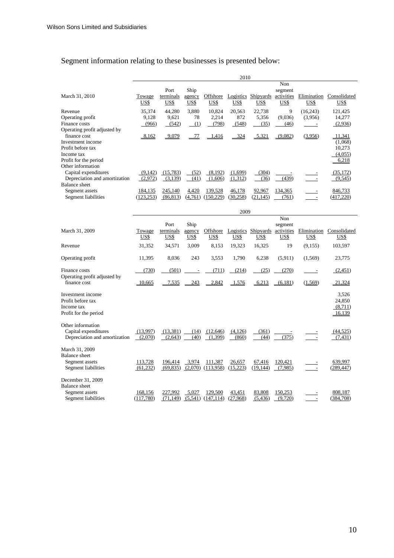# Segment information relating to these businesses is presented below:

|                                                       |                     |                      |                          |                       | 2010               |                                         |                    |                          |                                                                         |
|-------------------------------------------------------|---------------------|----------------------|--------------------------|-----------------------|--------------------|-----------------------------------------|--------------------|--------------------------|-------------------------------------------------------------------------|
|                                                       |                     |                      |                          |                       |                    |                                         | Non                |                          |                                                                         |
| March 31, 2010                                        | Towage              | Port<br>terminals    | Ship<br>agency           |                       |                    | Offshore Logistics Shipyards activities | segment            |                          | Elimination Consolidated                                                |
|                                                       | US\$                | US\$                 | US\$                     | US\$                  | US\$               | US\$                                    | US\$               | US\$                     | US\$                                                                    |
| Revenue                                               | 35,374              | 44,280               | 3,880                    | 10,824                | 20,563             | 22,738                                  | 9                  | (16,243)                 | 121,425                                                                 |
| Operating profit<br>Finance costs                     | 9,128<br>(966)      | 9,621<br>(542)       | 78<br>(1)                | 2,214<br>(798)        | 872<br>(548)       | 5,356<br>(35)                           | (9,036)<br>(46)    | (3,956)                  | 14,277<br>(2,936)                                                       |
| Operating profit adjusted by                          |                     |                      |                          |                       |                    |                                         |                    | $\sim$ $-$               |                                                                         |
| finance cost                                          | 8,162               | 9,079                | 77                       | 1,416                 | 324                | 5,321                                   | (9,082)            | (3,956)                  | 11,341                                                                  |
| Investment income                                     |                     |                      |                          |                       |                    |                                         |                    |                          | (1,068)                                                                 |
| Profit before tax<br>Income tax                       |                     |                      |                          |                       |                    |                                         |                    |                          | 10,273<br>(4.055)                                                       |
| Profit for the period                                 |                     |                      |                          |                       |                    |                                         |                    |                          | 6,218                                                                   |
| Other information                                     |                     |                      |                          |                       |                    |                                         |                    |                          |                                                                         |
| Capital expenditures                                  | (9.142)             | (15,783)             | (52)                     | (8,192)               | (1,699)            | (304)                                   |                    |                          | (35, 172)                                                               |
| Depreciation and amortization<br><b>Balance</b> sheet | (2,972)             | (3,139)              | (41)                     | (1,606)               | (1,312)            | (36)                                    | (439)              | $\overline{\phantom{a}}$ | (9, 545)                                                                |
| Segment assets                                        | 184,135             | 245,140              | 4,420                    | 139,528               | 46,178             | 92,967                                  | 134,365            |                          | 846,733                                                                 |
| Segment liabilities                                   | (123, 253)          | (86, 813)            |                          | $(4,761)$ $(150,229)$ | (30,258)           | (21, 145)                               | (761)              | $\blacksquare$           | (417,220)                                                               |
|                                                       |                     |                      |                          |                       |                    |                                         |                    |                          |                                                                         |
|                                                       |                     |                      |                          |                       | 2009               |                                         |                    |                          |                                                                         |
|                                                       |                     | Port                 | Ship                     |                       |                    |                                         | Non<br>segment     |                          |                                                                         |
| March 31, 2009                                        | Towage              | terminals            |                          |                       |                    |                                         |                    |                          | agency Offshore Logistics Shipyards activities Elimination Consolidated |
|                                                       | US\$                | US\$                 | US\$                     | US\$                  | US\$               | US\$                                    | US\$               | US\$                     | US\$                                                                    |
| Revenue                                               | 31,352              | 34,571               | 3.009                    | 8.153                 | 19,323             | 16.325                                  | 19                 | (9, 155)                 | 103,597                                                                 |
| Operating profit                                      | 11,395              | 8,036                | 243                      | 3,553                 | 1,790              | 6,238                                   | (5,911)            | (1, 569)                 | 23,775                                                                  |
| Finance costs                                         | (730)               | (501)                | $\overline{\phantom{a}}$ | (711)                 | (214)              | (25)                                    | (270)              | $\overline{\phantom{a}}$ | (2,451)                                                                 |
| Operating profit adjusted by                          |                     |                      |                          |                       |                    |                                         |                    |                          |                                                                         |
| finance cost                                          | $-10,665$           | 7,535                | 243                      | 2,842                 | 1,576              | 6,213                                   | (6,181)            | (1, 569)                 | 21,324                                                                  |
| Investment income                                     |                     |                      |                          |                       |                    |                                         |                    |                          | 3,526                                                                   |
| Profit before tax                                     |                     |                      |                          |                       |                    |                                         |                    |                          | 24,850                                                                  |
| Income tax                                            |                     |                      |                          |                       |                    |                                         |                    |                          | (8,711)                                                                 |
| Profit for the period                                 |                     |                      |                          |                       |                    |                                         |                    |                          | <u>16,139</u>                                                           |
| Other information                                     |                     |                      |                          |                       |                    |                                         |                    |                          |                                                                         |
| Capital expenditures                                  | (13,997)            | (13,381)             | (14)                     | (12, 646)             | (4,126)            | (361)                                   |                    |                          | (44, 525)                                                               |
| Depreciation and amortization                         | (2,070)             | (2,643)              | (40)                     | (1,399)               | (860)              | (44)                                    | (375)              |                          | (7, 431)                                                                |
| March 31, 2009                                        |                     |                      |                          |                       |                    |                                         |                    |                          |                                                                         |
| <b>Balance</b> sheet                                  |                     |                      |                          |                       |                    |                                         |                    |                          |                                                                         |
| Segment assets<br>Segment liabilities                 | 113,728<br>(61,232) | 196,414<br>(69, 835) | 3,974<br>(2,070)         | 111,387<br>(113.958)  | 26,657<br>(15,223) | 67,416<br>(19, 144)                     | 120,421<br>(7,985) | $\overline{\phantom{a}}$ | 639,997<br>(289, 447)                                                   |
|                                                       |                     |                      |                          |                       |                    |                                         |                    |                          |                                                                         |
| December 31, 2009                                     |                     |                      |                          |                       |                    |                                         |                    |                          |                                                                         |
| <b>Balance</b> sheet<br>Segment assets                | 168,156             | 227,992              | 5,027                    | 129,500               | 43,451             | 83,808                                  | 150,253            |                          | 808,187                                                                 |
| Segment liabilities                                   | (117,780)           | (71, 149)            |                          | $(5,541)$ $(147,114)$ | (27,968)           | (5, 436)                                | (9,720)            | $\sim$                   | (384,708)                                                               |
|                                                       |                     |                      |                          |                       |                    |                                         |                    |                          |                                                                         |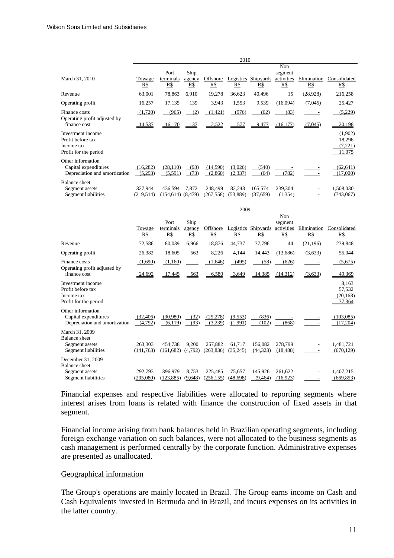|                                                                               |                       |                          |                       |                       | 2010               |                         |                                     |                    |                                        |
|-------------------------------------------------------------------------------|-----------------------|--------------------------|-----------------------|-----------------------|--------------------|-------------------------|-------------------------------------|--------------------|----------------------------------------|
| March 31, 2010                                                                | Towage<br>R\$         | Port<br>terminals<br>R\$ | Ship<br>agency<br>R\$ | Offshore<br>R\$       | Logistics<br>R\$   | <b>Shipyards</b><br>R\$ | Non<br>segment<br>activities<br>R\$ | Elimination<br>R\$ | Consolidated<br>$R\$                   |
| Revenue                                                                       | 63,001                | 78.863                   | 6,910                 | 19,278                | 36,623             | 40,496                  | 15                                  | (28, 928)          | 216,258                                |
| Operating profit                                                              | 16,257                | 17,135                   | 139                   | 3,943                 | 1,553              | 9,539                   | (16,094)                            | (7,045)            | 25,427                                 |
| Finance costs<br>Operating profit adjusted by                                 | (1,720)               | (965)                    | (2)                   | (1,421)               | (976)              | (62)                    | (83)                                |                    | (5,229)                                |
| finance cost                                                                  | 14,537                | 16,170                   | 137                   | 2,522                 | .577               | 9,477                   | (16, 177)                           | (7,045)            | 20,198                                 |
| Investment income<br>Profit before tax<br>Income tax<br>Profit for the period |                       |                          |                       |                       |                    |                         |                                     |                    | (1,902)<br>18,296<br>(7,221)<br>11,075 |
| Other information<br>Capital expenditures<br>Depreciation and amortization    | (16, 282)<br>(5,293)  | (28, 110)<br>(5,591)     | (93)<br>(73)          | (14,590)<br>(2,860)   | (3,026)<br>(2,337) | (540)<br>(64)           | (782)                               |                    | (62, 641)<br>(17,000)                  |
| <b>Balance</b> sheet<br>Segment assets<br>Segment liabilities                 | 327,944<br>(219, 514) | 436,594<br>(154, 614)    | 7,872<br>(8, 479)     | 248,499<br>(267, 558) | 82,243<br>(53,889) | 165,574<br>(37,659)     | 239,304<br>(1, 354)                 |                    | 1.508.030<br>(743,067)                 |

|                                                                                    |                       |                       |                   |                       | 2009                |                      |                      |                    |                                       |
|------------------------------------------------------------------------------------|-----------------------|-----------------------|-------------------|-----------------------|---------------------|----------------------|----------------------|--------------------|---------------------------------------|
|                                                                                    |                       | Port                  | Ship              |                       |                     |                      | Non<br>segment       |                    |                                       |
|                                                                                    | Towage<br>R\$         | terminals<br>R\$      | agency<br>R\$     | Offshore<br>R\$       | Logistics<br>R\$    | Shipyards<br>R\$     | activities<br>R\$    | Elimination<br>R\$ | Consolidated<br>R\$                   |
| Revenue                                                                            | 72,586                | 80,039                | 6,966             | 18,876                | 44,737              | 37,796               | 44                   | (21, 196)          | 239,848                               |
| Operating profit                                                                   | 26,382                | 18.605                | 563               | 8,226                 | 4,144               | 14,443               | (13,686)             | (3,633)            | 55,044                                |
| Finance costs<br>Operating profit adjusted by                                      | (1,690)               | (1,160)               |                   | (1,646)               | (495)               | (58)                 | (626)                |                    | (5,675)                               |
| finance cost                                                                       | 24,692                | 17,445                | 563               | 6,580                 | 3,649               | 14,385               | (14,312)             | (3,633)            | 49,369                                |
| Investment income<br>Profit before tax<br>Income tax<br>Profit for the period      |                       |                       |                   |                       |                     |                      |                      |                    | 8.163<br>57,532<br>(20.168)<br>37,364 |
| Other information<br>Capital expenditures<br>Depreciation and amortization         | (32, 406)<br>(4.792)  | (30,980)<br>(6.119)   | (32)<br>(93)      | (29, 278)<br>(3,239)  | (9,553)<br>(1,991)  | (836)<br>(102)       | (868)                |                    | (103.085)<br>(17, 204)                |
| March 31, 2009<br><b>Balance</b> sheet<br>Segment assets<br>Segment liabilities    | 263,303<br>(141, 763) | 454.738<br>(161, 682) | 9,200<br>(4, 792) | 257.882<br>(263, 836) | 61.717<br>(35, 245) | 156,082<br>(44, 323) | 278.799<br>(18, 488) |                    | 1.481.721<br>(670, 129)               |
| December 31, 2009<br><b>Balance</b> sheet<br>Segment assets<br>Segment liabilities | 292.793<br>(205,080)  | 396,979<br>(123, 885) | 8,753<br>(9,648)  | 225.485<br>(256, 155) | 75,657<br>(48, 698) | 145.926<br>(9,464)   | 261.622<br>(16, 923) |                    | 1.407.215<br>(669, 853)               |

Financial expenses and respective liabilities were allocated to reporting segments where interest arises from loans is related with finance the construction of fixed assets in that segment.

Financial income arising from bank balances held in Brazilian operating segments, including foreign exchange variation on such balances, were not allocated to the business segments as cash management is performed centrally by the corporate function. Administrative expenses are presented as unallocated.

#### Geographical information

The Group's operations are mainly located in Brazil. The Group earns income on Cash and Cash Equivalents invested in Bermuda and in Brazil, and incurs expenses on its activities in the latter country.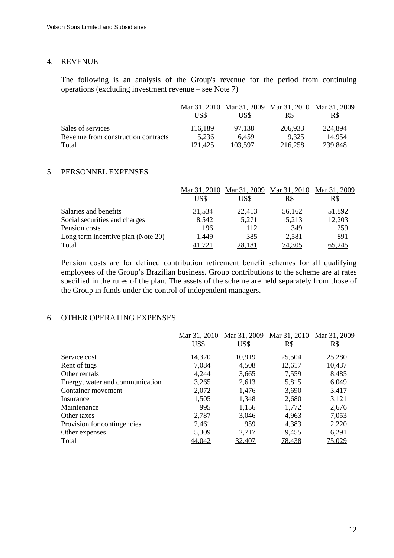### 4. REVENUE

The following is an analysis of the Group's revenue for the period from continuing operations (excluding investment revenue – see Note 7)

|                                     |         |        | Mar 31, 2010 Mar 31, 2009 Mar 31, 2010 | Mar 31, 2009 |
|-------------------------------------|---------|--------|----------------------------------------|--------------|
|                                     | US\$    |        | R\$                                    | R\$          |
| Sales of services                   | 116.189 | 97.138 | 206.933                                | 224,894      |
| Revenue from construction contracts | 5.236   | 6.459  | 9.325                                  | 14.954       |
| Total                               |         |        |                                        | 39.848       |

## 5. PERSONNEL EXPENSES

|                                    |        |             | Mar 31, 2010 Mar 31, 2009 Mar 31, 2010 | Mar 31, 2009 |
|------------------------------------|--------|-------------|----------------------------------------|--------------|
|                                    | US\$   | <u>US\$</u> | $R\$                                   | R\$          |
| Salaries and benefits              | 31,534 | 22,413      | 56,162                                 | 51,892       |
| Social securities and charges      | 8,542  | 5,271       | 15,213                                 | 12,203       |
| Pension costs                      | 196    | 112         | 349                                    | 259          |
| Long term incentive plan (Note 20) | 1,449  | 385         | 2,581                                  | 891          |
| Total                              |        | 28.181      | 74.305                                 | 65,245       |

Pension costs are for defined contribution retirement benefit schemes for all qualifying employees of the Group's Brazilian business. Group contributions to the scheme are at rates specified in the rules of the plan. The assets of the scheme are held separately from those of the Group in funds under the control of independent managers.

## 6. OTHER OPERATING EXPENSES

|                                 | Mar 31, 2010 | Mar 31, 2009 | Mar 31, 2010 | Mar 31, 2009 |
|---------------------------------|--------------|--------------|--------------|--------------|
|                                 | US\$         | US\$         | $R\$         | R\$          |
| Service cost                    | 14,320       | 10,919       | 25,504       | 25,280       |
| Rent of tugs                    | 7,084        | 4,508        | 12,617       | 10,437       |
| Other rentals                   | 4,244        | 3,665        | 7,559        | 8,485        |
| Energy, water and communication | 3,265        | 2,613        | 5,815        | 6,049        |
| Container movement              | 2,072        | 1,476        | 3,690        | 3,417        |
| Insurance                       | 1,505        | 1,348        | 2,680        | 3,121        |
| Maintenance                     | 995          | 1,156        | 1,772        | 2,676        |
| Other taxes                     | 2,787        | 3,046        | 4,963        | 7,053        |
| Provision for contingencies     | 2,461        | 959          | 4,383        | 2,220        |
| Other expenses                  | 5,309        | 2,717        | 9,455        | 6,291        |
| Total                           | 44,042       | 32,407       | 78,438       | 75,029       |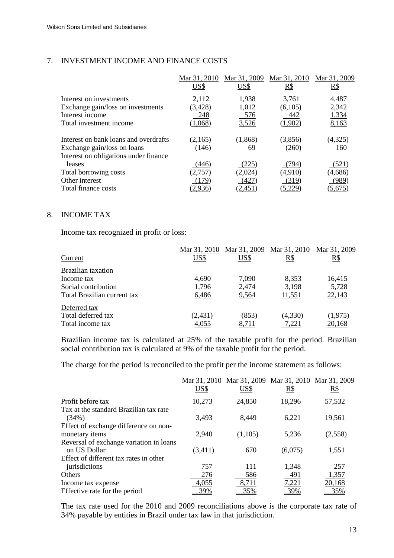## 7. INVESTMENT INCOME AND FINANCE COSTS

|                                                                                                            | Mar 31, 2010<br>US\$                | Mar 31, 2009<br>US\$           | Mar 31, 2010<br>R\$                | Mar 31, 2009<br><u>R\$</u>       |
|------------------------------------------------------------------------------------------------------------|-------------------------------------|--------------------------------|------------------------------------|----------------------------------|
| Interest on investments<br>Exchange gain/loss on investments<br>Interest income<br>Total investment income | 2,112<br>(3, 428)<br>248<br>(1,068) | 1,938<br>1,012<br>576<br>3,526 | 3,761<br>(6,105)<br>442<br>(1,902) | 4,487<br>2,342<br>1,334<br>8,163 |
| Interest on bank loans and overdrafts                                                                      | (2,165)                             | (1,868)                        | (3,856)                            | (4,325)                          |
| Exchange gain/loss on loans<br>Interest on obligations under finance                                       | (146)                               | 69                             | (260)                              | 160                              |
| leases                                                                                                     | (446)                               | (225)                          | (794)                              | (521)                            |
| Total borrowing costs                                                                                      | (2,757)                             | (2,024)                        | (4.910)                            | (4,686)                          |
| Other interest                                                                                             | (179)                               | (427)                          | (319)                              | (989)                            |
| Total finance costs                                                                                        | (2,936)                             | (2, 451)                       | (5,229)                            | (5,675)                          |

## 8. INCOME TAX

Income tax recognized in profit or loss:

|                             | Mar 31, 2010 | Mar 31, 2009 | Mar 31, 2010 | Mar 31, 2009 |
|-----------------------------|--------------|--------------|--------------|--------------|
| Current                     | US\$         | US\$         | $R\$         | R\$          |
| Brazilian taxation          |              |              |              |              |
| Income tax                  | 4,690        | 7.090        | 8,353        | 16,415       |
| Social contribution         | 1,796        | 2,474        | 3,198        | 5,728        |
| Total Brazilian current tax | 6,486        | 9,564        | 11,551       | 22,143       |
| Deferred tax                |              |              |              |              |
| Total deferred tax          | (2,431)      | (853)        | (4,330)      | (1,975)      |
| Total income tax            | 4,055        | 8,711        | 7,221        | 20,168       |

Brazilian income tax is calculated at 25% of the taxable profit for the period. Brazilian social contribution tax is calculated at 9% of the taxable profit for the period.

The charge for the period is reconciled to the profit per the income statement as follows:

|                                         | Mar 31, 2010 |         | Mar 31, 2009 Mar 31, 2010 Mar 31, 2009 |            |
|-----------------------------------------|--------------|---------|----------------------------------------|------------|
|                                         | US\$         | US\$    | R\$                                    | <u>R\$</u> |
| Profit before tax                       | 10,273       | 24,850  | 18,296                                 | 57,532     |
| Tax at the standard Brazilian tax rate  |              |         |                                        |            |
| $(34\%)$                                | 3,493        | 8,449   | 6,221                                  | 19,561     |
| Effect of exchange difference on non-   |              |         |                                        |            |
| monetary items                          | 2,940        | (1,105) | 5,236                                  | (2,558)    |
| Reversal of exchange variation in loans |              |         |                                        |            |
| on US Dollar                            | (3,411)      | 670     | (6,075)                                | 1,551      |
| Effect of different tax rates in other  |              |         |                                        |            |
| jurisdictions                           | 757          | 111     | 1,348                                  | 257        |
| <b>Others</b>                           | 276          | 586     | 491                                    | 1,357      |
| Income tax expense                      | 4,055        | 8,711   | 7,221                                  | 20,168     |
| Effective rate for the period           | 39%          | 35%     | 39%                                    | 35%        |

The tax rate used for the 2010 and 2009 reconciliations above is the corporate tax rate of 34% payable by entities in Brazil under tax law in that jurisdiction.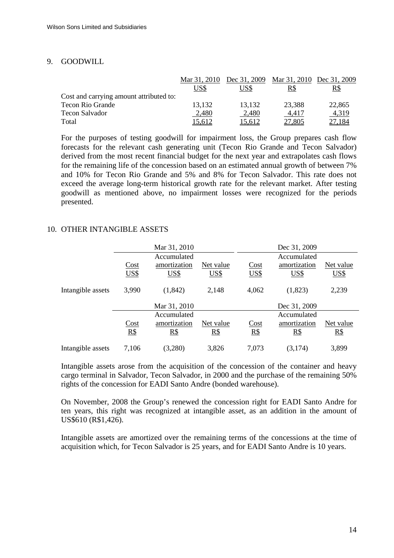#### 9. GOODWILL

|                                         | Mar 31, 2010 | Dec 31, 2009 | Mar 31, 2010  | Dec 31, 2009 |
|-----------------------------------------|--------------|--------------|---------------|--------------|
|                                         | US\$         | JS\$         | R\$           | R\$          |
| Cost and carrying amount attributed to: |              |              |               |              |
| <b>Tecon Rio Grande</b>                 | 13,132       | 13,132       | 23,388        | 22,865       |
| <b>Tecon Salvador</b>                   | 2,480        | 2,480        | 4.417         | 4,319        |
| Total                                   | 5.612        | 5.612        | <u>27.805</u> | .184         |

For the purposes of testing goodwill for impairment loss, the Group prepares cash flow forecasts for the relevant cash generating unit (Tecon Rio Grande and Tecon Salvador) derived from the most recent financial budget for the next year and extrapolates cash flows for the remaining life of the concession based on an estimated annual growth of between 7% and 10% for Tecon Rio Grande and 5% and 8% for Tecon Salvador. This rate does not exceed the average long-term historical growth rate for the relevant market. After testing goodwill as mentioned above, no impairment losses were recognized for the periods presented.

## 10. OTHER INTANGIBLE ASSETS

|                   |                                   | Mar 31, 2010 |            |             | Dec 31, 2009 |             |
|-------------------|-----------------------------------|--------------|------------|-------------|--------------|-------------|
|                   |                                   | Accumulated  |            |             | Accumulated  |             |
|                   | $\frac{\text{Cost}}{\text{Cost}}$ | amortization | Net value  | Cost        | amortization | Net value   |
|                   | <b>US\$</b>                       | US\$         | US\$       | <b>US\$</b> | US\$         | <u>US\$</u> |
| Intangible assets | 3,990                             | (1, 842)     | 2,148      | 4,062       | (1,823)      | 2,239       |
|                   |                                   | Mar 31, 2010 |            |             | Dec 31, 2009 |             |
|                   |                                   | Accumulated  |            |             | Accumulated  |             |
|                   | Cost                              | amortization | Net value  | Cost        | amortization | Net value   |
|                   | R\$                               | R\$          | <u>R\$</u> | R\$         | R\$          | R\$         |
| Intangible assets | 7,106                             | (3,280)      | 3,826      | 7,073       | (3,174)      | 3,899       |

Intangible assets arose from the acquisition of the concession of the container and heavy cargo terminal in Salvador, Tecon Salvador, in 2000 and the purchase of the remaining 50% rights of the concession for EADI Santo Andre (bonded warehouse).

On November, 2008 the Group's renewed the concession right for EADI Santo Andre for ten years, this right was recognized at intangible asset, as an addition in the amount of US\$610 (R\$1,426).

Intangible assets are amortized over the remaining terms of the concessions at the time of acquisition which, for Tecon Salvador is 25 years, and for EADI Santo Andre is 10 years.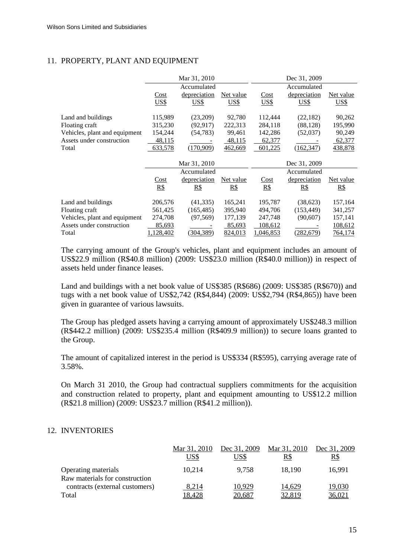## 11. PROPERTY, PLANT AND EQUIPMENT

|                                                 | Mar 31, 2010 |                         |           | Dec 31, 2009       |              |                    |
|-------------------------------------------------|--------------|-------------------------|-----------|--------------------|--------------|--------------------|
|                                                 |              | Accumulated             |           | Accumulated        |              |                    |
|                                                 | Cost         | depreciation            | Net value | Cost               | depreciation | Net value          |
|                                                 | US\$         | US\$                    | US\$      | US\$               | US\$         | <u>US\$</u>        |
| Land and buildings                              | 115,989      | (23,209)                | 92,780    | 112,444            | (22, 182)    | 90,262             |
|                                                 |              |                         |           |                    |              |                    |
| Floating craft                                  | 315,230      | (92, 917)               | 222,313   | 284,118            | (88, 128)    | 195,990            |
| Vehicles, plant and equipment                   | 154,244      | (54, 783)               | 99,461    | 142,286            | (52,037)     | 90,249             |
| Assets under construction                       | 48,115       |                         | 48,115    | 62,377             |              | 62,377             |
| Total                                           | 633,578      | (170,909)               | 462,669   | 601,225            | (162, 347)   | 438,878            |
|                                                 |              |                         |           |                    |              |                    |
|                                                 |              |                         |           |                    |              |                    |
|                                                 |              | Mar 31, 2010            |           |                    | Dec 31, 2009 |                    |
|                                                 |              | Accumulated             |           |                    | Accumulated  |                    |
|                                                 | Cost         | depreciation            | Net value | <u>Cost</u>        | depreciation | <u>Net value</u>   |
|                                                 | R\$          | R\$                     | R\$       | R\$                | R\$          | R\$                |
|                                                 | 206,576      |                         | 165,241   |                    | (38,623)     | 157,164            |
| Land and buildings                              | 561,425      | (41, 335)<br>(165, 485) | 395,940   | 195,787<br>494,706 | (153, 449)   |                    |
| Floating craft<br>Vehicles, plant and equipment | 274,708      | (97, 569)               | 177,139   | 247,748            | (90,607)     | 341,257<br>157,141 |
| Assets under construction                       | 85,693       |                         | 85,693    | 108,612            |              | 108,612            |

The carrying amount of the Group's vehicles, plant and equipment includes an amount of US\$22.9 million (R\$40.8 million) (2009: US\$23.0 million (R\$40.0 million)) in respect of assets held under finance leases.

Land and buildings with a net book value of US\$385 (R\$686) (2009: US\$385 (R\$670)) and tugs with a net book value of US\$2,742 (R\$4,844) (2009: US\$2,794 (R\$4,865)) have been given in guarantee of various lawsuits.

The Group has pledged assets having a carrying amount of approximately US\$248.3 million (R\$442.2 million) (2009: US\$235.4 million (R\$409.9 million)) to secure loans granted to the Group.

The amount of capitalized interest in the period is US\$334 (R\$595), carrying average rate of 3.58%.

On March 31 2010, the Group had contractual suppliers commitments for the acquisition and construction related to property, plant and equipment amounting to US\$12.2 million (R\$21.8 million) (2009: US\$23.7 million (R\$41.2 million)).

### 12. INVENTORIES

|                                                              | Mar 31, 2010 | Dec 31, 2009 | Mar 31, 2010 | Dec 31, 2009 |
|--------------------------------------------------------------|--------------|--------------|--------------|--------------|
|                                                              | US\$         | US\$         | <u>R\$</u>   | <u>R\$</u>   |
| <b>Operating materials</b><br>Raw materials for construction | 10.214       | 9,758        | 18.190       | 16,991       |
| contracts (external customers)                               | 8,214        | 10,929       | 14,629       | 19,030       |
| Total                                                        | 18,428       | 20,687       | 32,819       | 36,021       |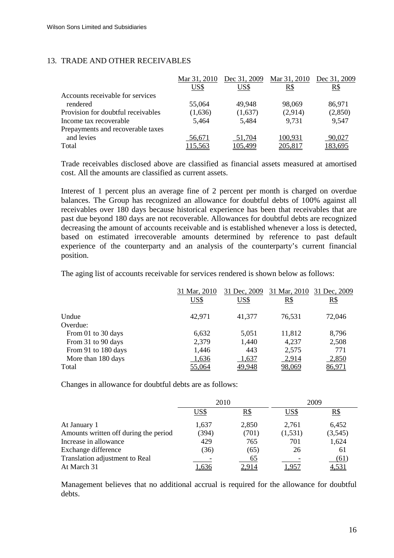## 13. TRADE AND OTHER RECEIVABLES

|                                    | Mar 31, 2010 | Dec 31, 2009 | Mar 31, 2010 | Dec 31, 2009 |
|------------------------------------|--------------|--------------|--------------|--------------|
|                                    | US\$         | US\$         | R\$          | R\$          |
| Accounts receivable for services   |              |              |              |              |
| rendered                           | 55,064       | 49,948       | 98,069       | 86,971       |
| Provision for doubtful receivables | (1,636)      | (1,637)      | (2,914)      | (2, 850)     |
| Income tax recoverable             | 5,464        | 5,484        | 9,731        | 9,547        |
| Prepayments and recoverable taxes  |              |              |              |              |
| and levies                         | 56,671       | 51,704       | 100,931      | 90,027       |
| Total                              | 115.563      | 105,499      |              | 183.695      |

Trade receivables disclosed above are classified as financial assets measured at amortised cost. All the amounts are classified as current assets.

Interest of 1 percent plus an average fine of 2 percent per month is charged on overdue balances. The Group has recognized an allowance for doubtful debts of 100% against all receivables over 180 days because historical experience has been that receivables that are past due beyond 180 days are not recoverable. Allowances for doubtful debts are recognized decreasing the amount of accounts receivable and is established whenever a loss is detected, based on estimated irrecoverable amounts determined by reference to past default experience of the counterparty and an analysis of the counterparty's current financial position.

The aging list of accounts receivable for services rendered is shown below as follows:

|                     | 31 Mar, 2010<br>US\$ | 31 Dec, 2009<br>US\$ | 31 Mar, 2010 31 Dec, 2009<br><u>R\$</u> | R\$    |
|---------------------|----------------------|----------------------|-----------------------------------------|--------|
| Undue               | 42,971               | 41,377               | 76,531                                  | 72,046 |
| Overdue:            |                      |                      |                                         |        |
| From 01 to 30 days  | 6,632                | 5,051                | 11,812                                  | 8,796  |
| From 31 to 90 days  | 2,379                | 1,440                | 4,237                                   | 2,508  |
| From 91 to 180 days | 1,446                | 443                  | 2,575                                   | 771    |
| More than 180 days  | 1,636                | 1,637                | 2,914                                   | 2,850  |
| Total               | 55,064               | 49.948               | 98,069                                  | 86,971 |

Changes in allowance for doubtful debts are as follows:

|                                       | 2010  |       |          | 2009         |
|---------------------------------------|-------|-------|----------|--------------|
|                                       | US\$  | $R\$  | US\$     | <u>R\$</u>   |
| At January 1                          | 1,637 | 2,850 | 2,761    | 6,452        |
| Amounts written off during the period | (394) | (701) | (1, 531) | (3,545)      |
| Increase in allowance                 | 429   | 765   | 701      | 1,624        |
| Exchange difference                   | (36)  | (65)  | 26       | 61           |
| Translation adjustment to Real        |       | 65    |          | (61)         |
| At March 31                           | .636  |       | .957     | <u>4,531</u> |

Management believes that no additional accrual is required for the allowance for doubtful debts.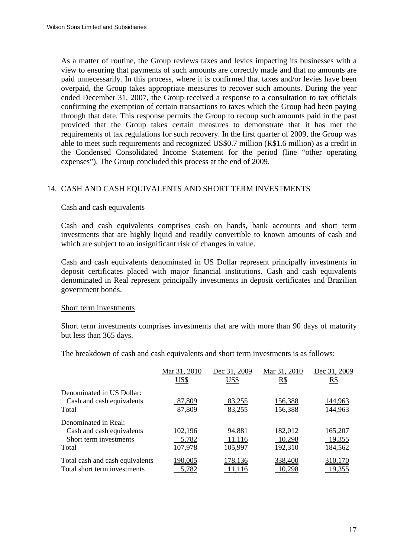As a matter of routine, the Group reviews taxes and levies impacting its businesses with a view to ensuring that payments of such amounts are correctly made and that no amounts are paid unnecessarily. In this process, where it is confirmed that taxes and/or levies have been overpaid, the Group takes appropriate measures to recover such amounts. During the year ended December 31, 2007, the Group received a response to a consultation to tax officials confirming the exemption of certain transactions to taxes which the Group had been paying through that date. This response permits the Group to recoup such amounts paid in the past provided that the Group takes certain measures to demonstrate that it has met the requirements of tax regulations for such recovery. In the first quarter of 2009, the Group was able to meet such requirements and recognized US\$0.7 million (R\$1.6 million) as a credit in the Condensed Consolidated Income Statement for the period (line "other operating expenses"). The Group concluded this process at the end of 2009.

## 14. CASH AND CASH EQUIVALENTS AND SHORT TERM INVESTMENTS

#### Cash and cash equivalents

Cash and cash equivalents comprises cash on hands, bank accounts and short term investments that are highly liquid and readily convertible to known amounts of cash and which are subject to an insignificant risk of changes in value.

Cash and cash equivalents denominated in US Dollar represent principally investments in deposit certificates placed with major financial institutions. Cash and cash equivalents denominated in Real represent principally investments in deposit certificates and Brazilian government bonds.

#### Short term investments

Short term investments comprises investments that are with more than 90 days of maturity but less than 365 days.

The breakdown of cash and cash equivalents and short term investments is as follows:

|                                                                                      | Mar 31, 2010                | Dec 31, 2009                | Mar 31, 2010                 | Dec 31, 2009                 |
|--------------------------------------------------------------------------------------|-----------------------------|-----------------------------|------------------------------|------------------------------|
|                                                                                      | US\$                        | US\$                        | R\$                          | R\$                          |
| Denominated in US Dollar:<br>Cash and cash equivalents<br>Total                      | 87,809<br>87,809            | 83,255<br>83,255            | 156,388<br>156,388           | 144,963<br>144,963           |
| Denominated in Real:<br>Cash and cash equivalents<br>Short term investments<br>Total | 102,196<br>5,782<br>107,978 | 94,881<br>11,116<br>105,997 | 182,012<br>10,298<br>192,310 | 165,207<br>19,355<br>184,562 |
| Total cash and cash equivalents                                                      | <u>190,005</u>              | 178,136                     | 338,400                      | 310.170                      |
| Total short term investments                                                         | 5,782                       | .1.116                      | <u>10,298</u>                | <u>19,355</u>                |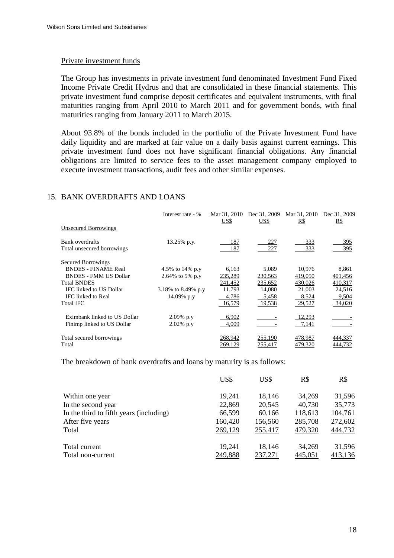#### Private investment funds

The Group has investments in private investment fund denominated Investment Fund Fixed Income Private Credit Hydrus and that are consolidated in these financial statements. This private investment fund comprise deposit certificates and equivalent instruments, with final maturities ranging from April 2010 to March 2011 and for government bonds, with final maturities ranging from January 2011 to March 2015.

About 93.8% of the bonds included in the portfolio of the Private Investment Fund have daily liquidity and are marked at fair value on a daily basis against current earnings. This private investment fund does not have significant financial obligations. Any financial obligations are limited to service fees to the asset management company employed to execute investment transactions, audit fees and other similar expenses.

## 15. BANK OVERDRAFTS AND LOANS

|                              | Interest rate - %  | Mar 31, 2010<br>US\$ | Dec 31, 2009<br>US\$ | Mar 31, 2010<br>R\$ | Dec 31, 2009<br>R\$ |
|------------------------------|--------------------|----------------------|----------------------|---------------------|---------------------|
| <b>Unsecured Borrowings</b>  |                    |                      |                      |                     |                     |
| Bank overdrafts              | 13.25% p.y.        | 187                  | 227                  | 333                 | 395                 |
| Total unsecured borrowings   |                    | 187                  | 227                  | 333                 | 395                 |
| Secured Borrowings           |                    |                      |                      |                     |                     |
| <b>BNDES - FINAME Real</b>   | 4.5% to 14% p.y    | 6,163                | 5,089                | 10,976              | 8,861               |
| <b>BNDES - FMM US Dollar</b> | 2.64% to 5% p.y    | 235,289              | 230,563              | 419,050             | 401,456             |
| <b>Total BNDES</b>           |                    | 241,452              | 235,652              | 430,026             | 410,317             |
| IFC linked to US Dollar      | 3.18% to 8.49% p.y | 11,793               | 14,080               | 21,003              | 24,516              |
| IFC linked to Real           | 14.09% p.y         | 4,786                | 5,458                | 8,524               | 9,504               |
| <b>Total IFC</b>             |                    | 16,579               | 19,538               | 29,527              | 34,020              |
| Eximbank linked to US Dollar | $2.09\%$ p.y       | 6,902                |                      | 12,293              |                     |
| Finimp linked to US Dollar   | $2.02\%$ p.y       | 4,009                |                      | 7,141               |                     |
| Total secured borrowings     |                    | 268,942              | 255,190              | 478,987             | 444,337             |
| Total                        |                    | 269,129              | 255,417              | 479,320             | 444.732             |

The breakdown of bank overdrafts and loans by maturity is as follows:

|                                         | US\$              | US\$              | $R\$              | R\$               |
|-----------------------------------------|-------------------|-------------------|-------------------|-------------------|
| Within one year                         | 19,241            | 18,146            | 34,269            | 31,596            |
| In the second year                      | 22,869            | 20,545            | 40,730            | 35,773            |
| In the third to fifth years (including) | 66,599            | 60,166            | 118,613           | 104,761           |
| After five years                        | 160,420           | 156,560           | 285,708           | 272,602           |
| Total                                   | 269,129           | 255,417           | 479,320           | 444,732           |
| Total current<br>Total non-current      | 19,241<br>249,888 | 18,146<br>237,271 | 34,269<br>445,051 | 31,596<br>413,136 |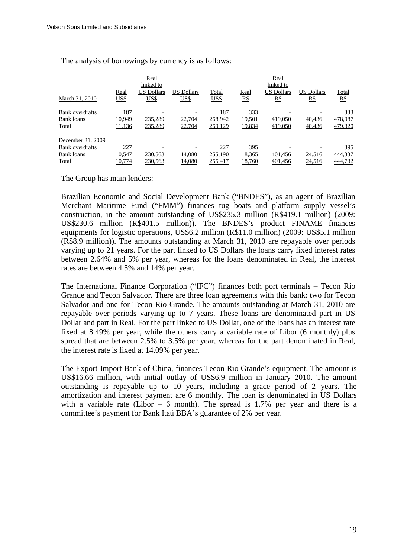|                        |        | Real              |                   |         |        | Real              |                   |         |
|------------------------|--------|-------------------|-------------------|---------|--------|-------------------|-------------------|---------|
|                        |        | linked to         |                   |         |        | linked to         |                   |         |
|                        | Real   | <b>US Dollars</b> | <b>US Dollars</b> | Total   | Real   | <b>US Dollars</b> | <b>US Dollars</b> | Total   |
| March 31, 2010         | US\$   | <u>US\$</u>       | US\$              | US\$    | $R\$   | $R\$              | R\$               | R\$     |
| Bank overdrafts        | 187    |                   |                   | 187     | 333    |                   |                   | 333     |
| Bank loans             | 10,949 | 235,289           | 22,704            | 268,942 | 19,501 | 419,050           | 40,436            | 478,987 |
| Total                  | 11,136 | 235,289           | 22,704            | 269,129 | 19,834 | 419,050           | 40,436            | 479,320 |
| December 31, 2009      |        |                   |                   |         |        |                   |                   |         |
| <b>Bank</b> overdrafts | 227    |                   |                   | 227     | 395    |                   |                   | 395     |
| Bank loans             | 10,547 | 230,563           | 14,080            | 255,190 | 18,365 | 401,456           | 24,516            | 444,337 |
| Total                  | 10,774 | 230,563           | 14,080            | 255,417 | 18,760 | 401,456           | 24,516            | 444,732 |

The analysis of borrowings by currency is as follows:

The Group has main lenders:

Brazilian Economic and Social Development Bank ("BNDES"), as an agent of Brazilian Merchant Maritime Fund ("FMM") finances tug boats and platform supply vessel's construction, in the amount outstanding of US\$235.3 million (R\$419.1 million) (2009: US\$230.6 million (R\$401.5 million)). The BNDES's product FINAME finances equipments for logistic operations, US\$6.2 million (R\$11.0 million) (2009: US\$5.1 million (R\$8.9 million)). The amounts outstanding at March 31, 2010 are repayable over periods varying up to 21 years. For the part linked to US Dollars the loans carry fixed interest rates between 2.64% and 5% per year, whereas for the loans denominated in Real, the interest rates are between 4.5% and 14% per year.

The International Finance Corporation ("IFC") finances both port terminals – Tecon Rio Grande and Tecon Salvador. There are three loan agreements with this bank: two for Tecon Salvador and one for Tecon Rio Grande. The amounts outstanding at March 31, 2010 are repayable over periods varying up to 7 years. These loans are denominated part in US Dollar and part in Real. For the part linked to US Dollar, one of the loans has an interest rate fixed at 8.49% per year, while the others carry a variable rate of Libor (6 monthly) plus spread that are between 2.5% to 3.5% per year, whereas for the part denominated in Real, the interest rate is fixed at 14.09% per year.

The Export-Import Bank of China, finances Tecon Rio Grande's equipment. The amount is US\$16.66 million, with initial outlay of US\$6.9 million in January 2010. The amount outstanding is repayable up to 10 years, including a grace period of 2 years. The amortization and interest payment are 6 monthly. The loan is denominated in US Dollars with a variable rate (Libor  $-6$  month). The spread is 1.7% per year and there is a committee's payment for Bank Itaú BBA's guarantee of 2% per year.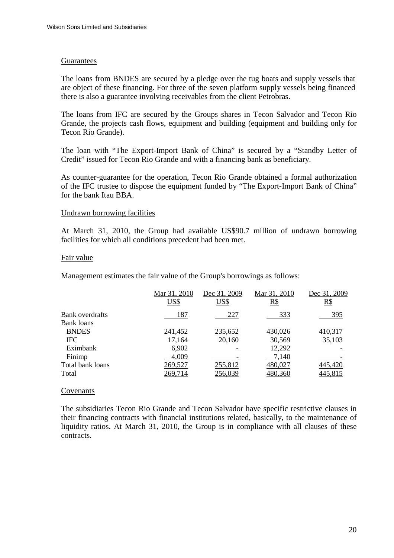#### Guarantees

The loans from BNDES are secured by a pledge over the tug boats and supply vessels that are object of these financing. For three of the seven platform supply vessels being financed there is also a guarantee involving receivables from the client Petrobras.

The loans from IFC are secured by the Groups shares in Tecon Salvador and Tecon Rio Grande, the projects cash flows, equipment and building (equipment and building only for Tecon Rio Grande).

The loan with "The Export-Import Bank of China" is secured by a "Standby Letter of Credit" issued for Tecon Rio Grande and with a financing bank as beneficiary.

As counter-guarantee for the operation, Tecon Rio Grande obtained a formal authorization of the IFC trustee to dispose the equipment funded by "The Export-Import Bank of China" for the bank Itau BBA.

#### Undrawn borrowing facilities

At March 31, 2010, the Group had available US\$90.7 million of undrawn borrowing facilities for which all conditions precedent had been met.

#### Fair value

Management estimates the fair value of the Group's borrowings as follows:

|                  | Mar 31, 2010<br>US\$ | Dec 31, 2009<br>US\$ | Mar 31, 2010<br>R\$ | Dec 31, 2009<br>R\$ |
|------------------|----------------------|----------------------|---------------------|---------------------|
| Bank overdrafts  | 187                  | 227                  | 333                 | 395                 |
| Bank loans       |                      |                      |                     |                     |
| <b>BNDES</b>     | 241,452              | 235,652              | 430,026             | 410,317             |
| <b>IFC</b>       | 17,164               | 20,160               | 30,569              | 35,103              |
| Eximbank         | 6,902                |                      | 12,292              |                     |
| Finimp           | 4,009                |                      | 7,140               |                     |
| Total bank loans | 269,527              | 255,812              | 480,027             | 445,420             |
| Total            | 269,714              | 256,039              | 480,360             | 445,815             |

#### Covenants

The subsidiaries Tecon Rio Grande and Tecon Salvador have specific restrictive clauses in their financing contracts with financial institutions related, basically, to the maintenance of liquidity ratios. At March 31, 2010, the Group is in compliance with all clauses of these contracts.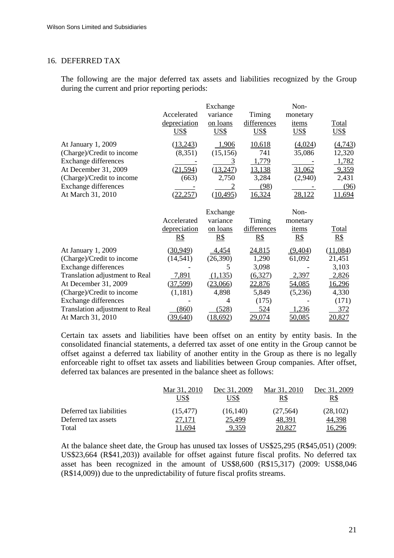#### 16. DEFERRED TAX

The following are the major deferred tax assets and liabilities recognized by the Group during the current and prior reporting periods:

|                                                                                                                                                                                         |                                                        | Exchange                                                       |                                                             | Non-                                             |                                                                |
|-----------------------------------------------------------------------------------------------------------------------------------------------------------------------------------------|--------------------------------------------------------|----------------------------------------------------------------|-------------------------------------------------------------|--------------------------------------------------|----------------------------------------------------------------|
|                                                                                                                                                                                         | Accelerated                                            | variance                                                       | Timing                                                      | monetary                                         |                                                                |
|                                                                                                                                                                                         | depreciation                                           | on loans                                                       | differences                                                 | <u>items</u>                                     | <u>Total</u>                                                   |
|                                                                                                                                                                                         | US\$                                                   | <u>US\$</u>                                                    | <u>US\$</u>                                                 | US\$                                             | <b>US\$</b>                                                    |
| At January 1, 2009<br>(Charge)/Credit to income<br><b>Exchange differences</b><br>At December 31, 2009<br>(Charge)/Credit to income<br><b>Exchange differences</b><br>At March 31, 2010 | (13,243)<br>(8,351)<br>(21, 594)<br>(663)<br>(22, 257) | 1,906<br>(15, 156)<br>3<br>(13,247)<br>2,750<br>2<br>(10, 495) | 10,618<br>741<br>1,779<br>13,138<br>3,284<br>(98)<br>16,324 | (4,024)<br>35,086<br>31,062<br>(2,940)<br>28,122 | (4,743)<br>12,320<br>1,782<br>9,359<br>2,431<br>(96)<br>11,694 |
|                                                                                                                                                                                         | Accelerated<br>depreciation<br>R\$                     | Exchange<br>variance<br>on loans<br>$R\$                       | Timing<br>differences<br>R\$                                | Non-<br>monetary<br><u>items</u><br>$R\$         | <b>Total</b><br>$R\mathcal{L}$                                 |
| At January 1, 2009                                                                                                                                                                      | (30,949)                                               | 4,454                                                          | 24,815                                                      | (9,404)                                          | (11,084)                                                       |
| (Charge)/Credit to income                                                                                                                                                               | (14, 541)                                              | (26,390)                                                       | 1,290                                                       | 61,092                                           | 21,451                                                         |
| <b>Exchange differences</b>                                                                                                                                                             |                                                        | 5                                                              | 3,098                                                       |                                                  | 3,103                                                          |
| Translation adjustment to Real                                                                                                                                                          | 7,891                                                  | (1,135)                                                        | (6,327)                                                     | 2,397                                            | 2,826                                                          |
| At December 31, 2009                                                                                                                                                                    | (37, 599)                                              | (23,066)                                                       | 22,876                                                      | 54,085                                           | 16,296                                                         |
| (Charge)/Credit to income                                                                                                                                                               | (1,181)                                                | 4,898                                                          | 5,849                                                       | (5,236)                                          | 4,330                                                          |
| <b>Exchange differences</b>                                                                                                                                                             |                                                        | 4                                                              | (175)                                                       |                                                  | (171)                                                          |
| Translation adjustment to Real                                                                                                                                                          | (860)                                                  | (528)                                                          | 524                                                         | 1,236                                            | 372                                                            |
| At March 31, 2010                                                                                                                                                                       | (39, 640)                                              | (18,692)                                                       | 29,074                                                      | 50,085                                           | 20,827                                                         |

Certain tax assets and liabilities have been offset on an entity by entity basis. In the consolidated financial statements, a deferred tax asset of one entity in the Group cannot be offset against a deferred tax liability of another entity in the Group as there is no legally enforceable right to offset tax assets and liabilities between Group companies. After offset, deferred tax balances are presented in the balance sheet as follows:

|                          | Mar 31, 2010 | Dec 31, 2009 | Mar 31, 2010 | Dec 31, 2009 |
|--------------------------|--------------|--------------|--------------|--------------|
|                          | US\$         | US\$         | R\$          | R\$          |
| Deferred tax liabilities | (15.477)     | (16.140)     | (27.564)     | (28,102)     |
| Deferred tax assets      | 27,171       | 25,499       | 48,391       | 44,398       |
| Total                    | ! 1.694      | <u>9,359</u> | 20.827       | 6.296        |

At the balance sheet date, the Group has unused tax losses of US\$25,295 (R\$45,051) (2009: US\$23,664 (R\$41,203)) available for offset against future fiscal profits. No deferred tax asset has been recognized in the amount of US\$8,600 (R\$15,317) (2009: US\$8,046 (R\$14,009)) due to the unpredictability of future fiscal profits streams.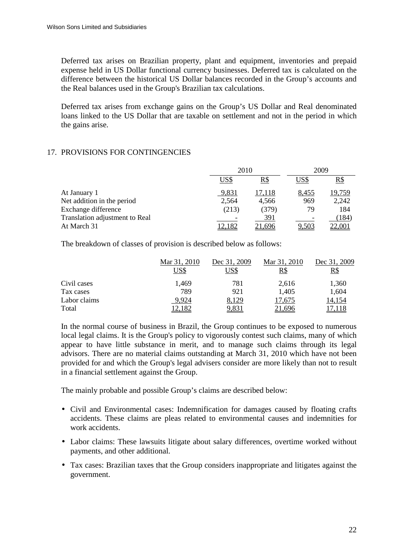Deferred tax arises on Brazilian property, plant and equipment, inventories and prepaid expense held in US Dollar functional currency businesses. Deferred tax is calculated on the difference between the historical US Dollar balances recorded in the Group's accounts and the Real balances used in the Group's Brazilian tax calculations.

Deferred tax arises from exchange gains on the Group's US Dollar and Real denominated loans linked to the US Dollar that are taxable on settlement and not in the period in which the gains arise.

## 17. PROVISIONS FOR CONTINGENCIES

|                                | 2010  |        | 2009  |        |
|--------------------------------|-------|--------|-------|--------|
|                                | US\$  | R\$    | US\$  | R\$    |
| At January 1                   | 9,831 | 17,118 | 8,455 | 19,759 |
| Net addition in the period     | 2,564 | 4,566  | 969   | 2,242  |
| Exchange difference            | (213) | (379)  | 79    | 184    |
| Translation adjustment to Real |       | 391    |       | (184)  |
| At March 31                    |       | :1.696 | 9,503 | 22,001 |

The breakdown of classes of provision is described below as follows:

|              | Mar 31, 2010<br>US\$ | Dec 31, 2009<br>US\$ | Mar 31, 2010<br>R\$ | Dec 31, 2009<br><u>R\$</u> |
|--------------|----------------------|----------------------|---------------------|----------------------------|
| Civil cases  | 1.469                | 781                  | 2.616               | 1,360                      |
| Tax cases    | 789                  | 921                  | 1,405               | 1,604                      |
| Labor claims | 9,924                | 8,129                | 17,675              | 14,154                     |
| Total        | 12,182               | 9,831                | 21,696              |                            |

In the normal course of business in Brazil, the Group continues to be exposed to numerous local legal claims. It is the Group's policy to vigorously contest such claims, many of which appear to have little substance in merit, and to manage such claims through its legal advisors. There are no material claims outstanding at March 31, 2010 which have not been provided for and which the Group's legal advisers consider are more likely than not to result in a financial settlement against the Group.

The mainly probable and possible Group's claims are described below:

- Civil and Environmental cases: Indemnification for damages caused by floating crafts accidents. These claims are pleas related to environmental causes and indemnities for work accidents.
- Labor claims: These lawsuits litigate about salary differences, overtime worked without payments, and other additional.
- Tax cases: Brazilian taxes that the Group considers inappropriate and litigates against the government.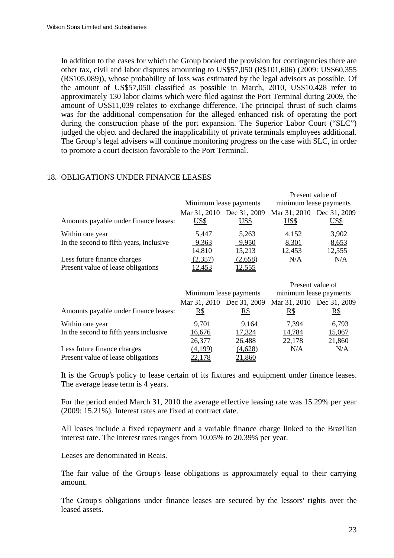In addition to the cases for which the Group booked the provision for contingencies there are other tax, civil and labor disputes amounting to US\$57,050 (R\$101,606) (2009: US\$60,355 (R\$105,089)), whose probability of loss was estimated by the legal advisors as possible. Of the amount of US\$57,050 classified as possible in March, 2010, US\$10,428 refer to approximately 130 labor claims which were filed against the Port Terminal during 2009, the amount of US\$11,039 relates to exchange difference. The principal thrust of such claims was for the additional compensation for the alleged enhanced risk of operating the port during the construction phase of the port expansion. The Superior Labor Court ("SLC") judged the object and declared the inapplicability of private terminals employees additional. The Group's legal advisers will continue monitoring progress on the case with SLC, in order to promote a court decision favorable to the Port Terminal.

## 18. OBLIGATIONS UNDER FINANCE LEASES

|                                         |                        |              |                        | Present value of |  |
|-----------------------------------------|------------------------|--------------|------------------------|------------------|--|
|                                         | Minimum lease payments |              | minimum lease payments |                  |  |
|                                         | Mar 31, 2010           | Dec 31, 2009 | Mar 31, 2010           | Dec 31, 2009     |  |
| Amounts payable under finance leases:   | US\$                   | US\$         | US\$                   | <u>US\$</u>      |  |
| Within one year                         | 5,447                  | 5,263        | 4,152                  | 3,902            |  |
| In the second to fifth years, inclusive | 9,363                  | 9,950        | 8,301                  | 8,653            |  |
|                                         | 14,810                 | 15,213       | 12,453                 | 12,555           |  |
| Less future finance charges             | (2,357)                | (2,658)      | N/A                    | N/A              |  |
| Present value of lease obligations      | 12,453                 | 12,555       |                        |                  |  |

|                                        |              |                        |                        | Present value of |  |
|----------------------------------------|--------------|------------------------|------------------------|------------------|--|
|                                        |              | Minimum lease payments | minimum lease payments |                  |  |
|                                        | Mar 31, 2010 | Dec 31, 2009           | Mar 31, 2010           | Dec 31, 2009     |  |
| Amounts payable under finance leases:  | R\$          | <u>R\$</u>             | <u>R\$</u>             | <u>R\$</u>       |  |
| Within one year                        | 9,701        | 9,164                  | 7,394                  | 6,793            |  |
| In the second to fifth years inclusive | 16,676       | 17,324                 | 14,784                 | 15,067           |  |
|                                        | 26,377       | 26,488                 | 22,178                 | 21,860           |  |
| Less future finance charges            | (4,199)      | (4,628)                | N/A                    | N/A              |  |
| Present value of lease obligations     | 22,178       | 21,860                 |                        |                  |  |

It is the Group's policy to lease certain of its fixtures and equipment under finance leases. The average lease term is 4 years.

For the period ended March 31, 2010 the average effective leasing rate was 15.29% per year (2009: 15.21%). Interest rates are fixed at contract date.

All leases include a fixed repayment and a variable finance charge linked to the Brazilian interest rate. The interest rates ranges from 10.05% to 20.39% per year.

Leases are denominated in Reais.

The fair value of the Group's lease obligations is approximately equal to their carrying amount.

The Group's obligations under finance leases are secured by the lessors' rights over the leased assets.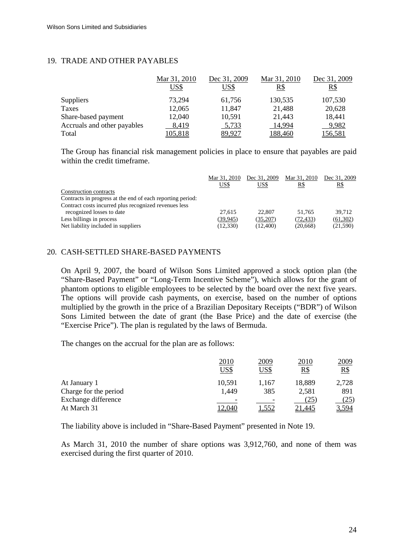## 19. TRADE AND OTHER PAYABLES

|                             | Mar 31, 2010<br><u>US\$</u> | Dec 31, 2009<br>US\$ | Mar 31, 2010<br>R\$ | Dec 31, 2009<br>$R\$ |
|-----------------------------|-----------------------------|----------------------|---------------------|----------------------|
| <b>Suppliers</b>            | 73,294                      | 61,756               | 130,535             | 107,530              |
| Taxes                       | 12,065                      | 11,847               | 21,488              | 20,628               |
| Share-based payment         | 12,040                      | 10,591               | 21,443              | 18,441               |
| Accruals and other payables | 8,419                       | 5,733                | 14,994              | 9,982                |
| Total                       | <u>105,818</u>              | 89,927               | <u>188,460</u>      | <u>156,581</u>       |

The Group has financial risk management policies in place to ensure that payables are paid within the credit timeframe.

|                                                            | Mar 31, 2010<br>US\$ | Dec 31, 2009<br>US\$ | Mar 31, 2010<br>R\$ | Dec 31, 2009<br>R\$ |
|------------------------------------------------------------|----------------------|----------------------|---------------------|---------------------|
| Construction contracts                                     |                      |                      |                     |                     |
| Contracts in progress at the end of each reporting period: |                      |                      |                     |                     |
| Contract costs incurred plus recognized revenues less      |                      |                      |                     |                     |
| recognized losses to date                                  | 27.615               | 22,807               | 51.765              | 39.712              |
| Less billings in process                                   | (39, 945)            | (35,207)             | (72,433)            | (61,302)            |
| Net liability included in suppliers                        | (12,330)             | (12, 400)            | (20,668)            | (21,590)            |

## 20. CASH-SETTLED SHARE-BASED PAYMENTS

On April 9, 2007, the board of Wilson Sons Limited approved a stock option plan (the "Share-Based Payment" or "Long-Term Incentive Scheme"), which allows for the grant of phantom options to eligible employees to be selected by the board over the next five years. The options will provide cash payments, on exercise, based on the number of options multiplied by the growth in the price of a Brazilian Depositary Receipts ("BDR") of Wilson Sons Limited between the date of grant (the Base Price) and the date of exercise (the "Exercise Price"). The plan is regulated by the laws of Bermuda.

The changes on the accrual for the plan are as follows:

|                       | 2010<br>US\$             | 2009<br>US\$ | 2010<br>R\$ | 2009<br>$R\$ |
|-----------------------|--------------------------|--------------|-------------|--------------|
| At January 1          | 10,591                   | 1.167        | 18,889      | 2,728        |
| Charge for the period | 1,449                    | 385          | 2,581       | 891          |
| Exchange difference   | $\overline{\phantom{0}}$ |              | (25         | (25)         |
| At March 31           | 12.040                   | .552         | 21.445      | 3.594        |

The liability above is included in "Share-Based Payment" presented in Note 19.

As March 31, 2010 the number of share options was 3,912,760, and none of them was exercised during the first quarter of 2010.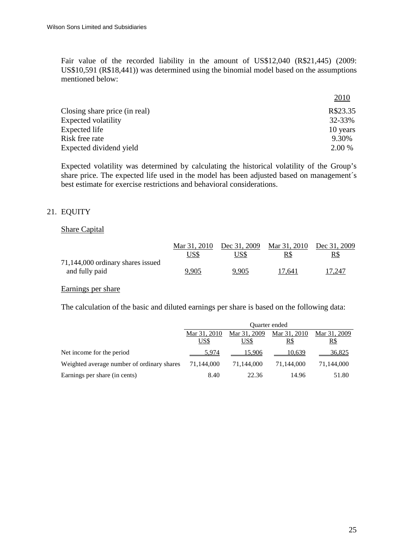Fair value of the recorded liability in the amount of US\$12,040 (R\$21,445) (2009: US\$10,591 (R\$18,441)) was determined using the binomial model based on the assumptions mentioned below:

| 2010     |
|----------|
| R\$23.35 |
| 32-33%   |
| 10 years |
| 9.30%    |
| 2.00 %   |
|          |

Expected volatility was determined by calculating the historical volatility of the Group's share price. The expected life used in the model has been adjusted based on management´s best estimate for exercise restrictions and behavioral considerations.

# 21. EQUITY

### Share Capital

|                                   | Mar 31, 2010 | Dec 31, 2009 | Mar 31, 2010 | Dec 31, 2009 |
|-----------------------------------|--------------|--------------|--------------|--------------|
|                                   | US\$         | US\$         | R\$          | R\$          |
| 71,144,000 ordinary shares issued |              |              |              |              |
| and fully paid                    | 9.905        | 9.905        | 17.641       | 17.247       |

#### Earnings per share

The calculation of the basic and diluted earnings per share is based on the following data:

|                                            | Ouarter ended        |                      |                     |                            |  |  |
|--------------------------------------------|----------------------|----------------------|---------------------|----------------------------|--|--|
|                                            | Mar 31, 2010<br>US\$ | Mar 31, 2009<br>US\$ | Mar 31, 2010<br>R\$ | Mar 31, 2009<br><u>R\$</u> |  |  |
| Net income for the period                  | 5.974                | 15,906               | 10,639              | 36,825                     |  |  |
| Weighted average number of ordinary shares | 71,144,000           | 71,144,000           | 71,144,000          | 71,144,000                 |  |  |
| Earnings per share (in cents)              | 8.40                 | 22.36                | 14.96               | 51.80                      |  |  |

 $2010$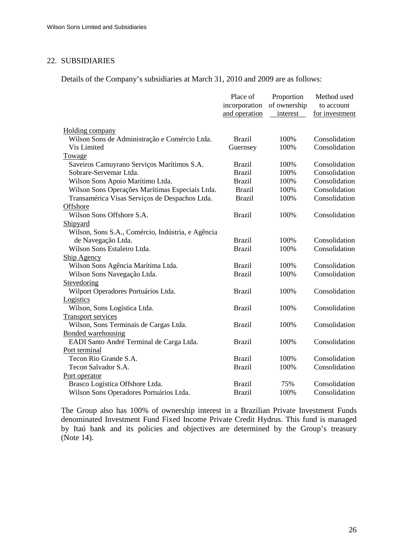## 22. SUBSIDIARIES

Details of the Company's subsidiaries at March 31, 2010 and 2009 are as follows:

|                                                   | Place of<br>incorporation<br>and operation | Proportion<br>of ownership<br>interest | Method used<br>to account<br>for investment |
|---------------------------------------------------|--------------------------------------------|----------------------------------------|---------------------------------------------|
| Holding company                                   |                                            |                                        |                                             |
| Wilson Sons de Administração e Comércio Ltda.     | <b>Brazil</b>                              | 100%                                   | Consolidation                               |
| Vis Limited                                       | Guernsey                                   | 100%                                   | Consolidation                               |
| Towage                                            |                                            |                                        |                                             |
| Saveiros Camuyrano Serviços Marítimos S.A.        | <b>Brazil</b>                              | 100%                                   | Consolidation                               |
| Sobrare-Servemar Ltda.                            | <b>Brazil</b>                              | 100%                                   | Consolidation                               |
| Wilson Sons Apoio Marítimo Ltda.                  | <b>Brazil</b>                              | 100%                                   | Consolidation                               |
| Wilson Sons Operações Marítimas Especiais Ltda.   | <b>Brazil</b>                              | 100%                                   | Consolidation                               |
| Transamérica Visas Serviços de Despachos Ltda.    | <b>Brazil</b>                              | 100%                                   | Consolidation                               |
| Offshore                                          |                                            |                                        |                                             |
| Wilson Sons Offshore S.A.                         | <b>Brazil</b>                              | 100%                                   | Consolidation                               |
| <b>Shipyard</b>                                   |                                            |                                        |                                             |
| Wilson, Sons S.A., Comércio, Indústria, e Agência |                                            |                                        |                                             |
| de Navegação Ltda.                                | <b>Brazil</b>                              | 100%                                   | Consolidation                               |
| Wilson Sons Estaleiro Ltda.                       | <b>Brazil</b>                              | 100%                                   | Consolidation                               |
| <b>Ship Agency</b>                                |                                            |                                        |                                             |
| Wilson Sons Agência Marítima Ltda.                | <b>Brazil</b>                              | 100%                                   | Consolidation                               |
| Wilson Sons Navegação Ltda.                       | <b>Brazil</b>                              | 100%                                   | Consolidation                               |
| Stevedoring                                       |                                            |                                        |                                             |
| Wilport Operadores Portuários Ltda.               | <b>Brazil</b>                              | 100%                                   | Consolidation                               |
| Logistics                                         |                                            |                                        |                                             |
| Wilson, Sons Logística Ltda.                      | <b>Brazil</b>                              | 100%                                   | Consolidation                               |
| <b>Transport services</b>                         |                                            |                                        |                                             |
| Wilson, Sons Terminais de Cargas Ltda.            | <b>Brazil</b>                              | 100%                                   | Consolidation                               |
| <b>Bonded warehousing</b>                         |                                            |                                        |                                             |
| EADI Santo André Terminal de Carga Ltda.          | <b>Brazil</b>                              | 100%                                   | Consolidation                               |
| Port terminal                                     |                                            |                                        |                                             |
| Tecon Rio Grande S.A.                             | <b>Brazil</b>                              | 100%                                   | Consolidation                               |
| Tecon Salvador S.A.                               | <b>Brazil</b>                              | 100%                                   | Consolidation                               |
| Port operator                                     |                                            |                                        |                                             |
| Brasco Logística Offshore Ltda.                   | <b>Brazil</b>                              | 75%                                    | Consolidation                               |
| Wilson Sons Operadores Portuários Ltda.           | <b>Brazil</b>                              | 100%                                   | Consolidation                               |

The Group also has 100% of ownership interest in a Brazilian Private Investment Funds denominated Investment Fund Fixed Income Private Credit Hydrus. This fund is managed by Itaú bank and its policies and objectives are determined by the Group's treasury (Note 14).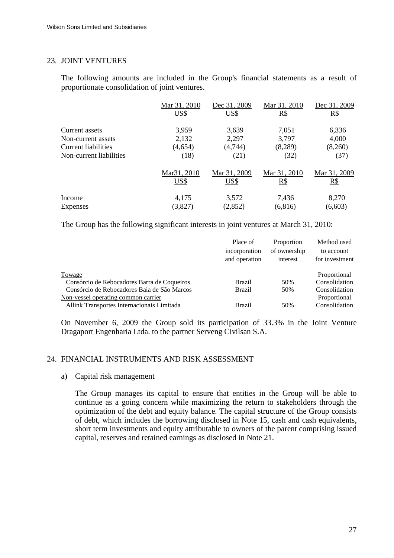#### 23. JOINT VENTURES

The following amounts are included in the Group's financial statements as a result of proportionate consolidation of joint ventures.

|                         | Mar 31, 2010             | Dec 31, 2009 | Mar 31, 2010 | Dec 31, 2009 |
|-------------------------|--------------------------|--------------|--------------|--------------|
|                         | US\$                     | US\$         | $R\$         | $R\$         |
| Current assets          | 3,959                    | 3,639        | 7,051        | 6,336        |
| Non-current assets      | 2,132                    | 2,297        | 3,797        | 4,000        |
| Current liabilities     | (4,654)                  | (4,744)      | (8,289)      | (8,260)      |
| Non-current liabilities | (18)                     | (21)         | (32)         | (37)         |
|                         | Mar <sub>31</sub> , 2010 | Mar 31, 2009 | Mar 31, 2010 | Mar 31, 2009 |
|                         | US\$                     | US\$         | R\$          | <u>R\$</u>   |
| Income                  | 4,175                    | 3,572        | 7,436        | 8,270        |
| Expenses                | (3,827)                  | (2, 852)     | (6, 816)     | (6,603)      |

The Group has the following significant interests in joint ventures at March 31, 2010:

|                                             | Place of      | Proportion   | Method used    |
|---------------------------------------------|---------------|--------------|----------------|
|                                             | incorporation | of ownership | to account     |
|                                             | and operation | interest     | for investment |
| Towage                                      |               |              | Proportional   |
| Consórcio de Rebocadores Barra de Coqueiros | <b>Brazil</b> | 50%          | Consolidation  |
| Consórcio de Rebocadores Baia de São Marcos | <b>Brazil</b> | 50%          | Consolidation  |
| Non-vessel operating common carrier         |               |              | Proportional   |
| Allink Transportes Internacionais Limitada  | <b>Brazil</b> | 50%          | Consolidation  |

On November 6, 2009 the Group sold its participation of 33.3% in the Joint Venture Dragaport Engenharia Ltda. to the partner Serveng Civilsan S.A.

### 24. FINANCIAL INSTRUMENTS AND RISK ASSESSMENT

a) Capital risk management

The Group manages its capital to ensure that entities in the Group will be able to continue as a going concern while maximizing the return to stakeholders through the optimization of the debt and equity balance. The capital structure of the Group consists of debt, which includes the borrowing disclosed in Note 15, cash and cash equivalents, short term investments and equity attributable to owners of the parent comprising issued capital, reserves and retained earnings as disclosed in Note 21.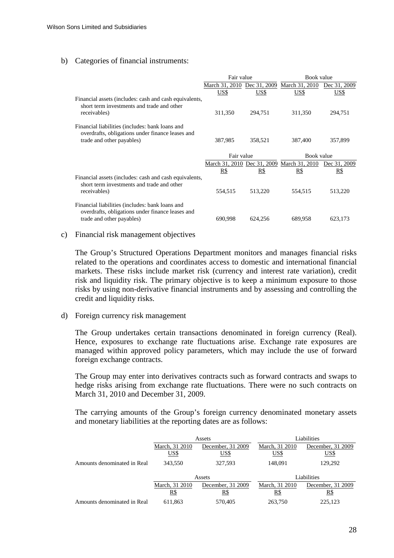## b) Categories of financial instruments:

|                                                                                                                                  | Fair value |         | Book value                                 |              |  |
|----------------------------------------------------------------------------------------------------------------------------------|------------|---------|--------------------------------------------|--------------|--|
|                                                                                                                                  |            |         | March 31, 2010 Dec 31, 2009 March 31, 2010 | Dec 31, 2009 |  |
|                                                                                                                                  | US\$       | US\$    | US\$                                       | US\$         |  |
| Financial assets (includes: cash and cash equivalents,<br>short term investments and trade and other<br>receivables)             | 311,350    | 294,751 | 311,350                                    | 294,751      |  |
| Financial liabilities (includes: bank loans and<br>overdrafts, obligations under finance leases and<br>trade and other payables) | 387,985    | 358,521 | 387,400                                    | 357,899      |  |
|                                                                                                                                  | Fair value |         | Book value                                 |              |  |
|                                                                                                                                  |            |         | March 31, 2010 Dec 31, 2009 March 31, 2010 | Dec 31, 2009 |  |
|                                                                                                                                  | R\$        | $R\$    | R\$                                        | R\$          |  |
| Financial assets (includes: cash and cash equivalents,<br>short term investments and trade and other<br>receivables)             | 554,515    | 513,220 | 554,515                                    | 513,220      |  |
|                                                                                                                                  |            |         |                                            |              |  |

#### c) Financial risk management objectives

The Group's Structured Operations Department monitors and manages financial risks related to the operations and coordinates access to domestic and international financial markets. These risks include market risk (currency and interest rate variation), credit risk and liquidity risk. The primary objective is to keep a minimum exposure to those risks by using non-derivative financial instruments and by assessing and controlling the credit and liquidity risks.

#### d) Foreign currency risk management

The Group undertakes certain transactions denominated in foreign currency (Real). Hence, exposures to exchange rate fluctuations arise. Exchange rate exposures are managed within approved policy parameters, which may include the use of forward foreign exchange contracts.

The Group may enter into derivatives contracts such as forward contracts and swaps to hedge risks arising from exchange rate fluctuations. There were no such contracts on March 31, 2010 and December 31, 2009.

The carrying amounts of the Group's foreign currency denominated monetary assets and monetary liabilities at the reporting dates are as follows:

|                             |                               | Assets                           | Liabilities                   |                                  |  |  |
|-----------------------------|-------------------------------|----------------------------------|-------------------------------|----------------------------------|--|--|
|                             | March, 31 2010<br><u>US\$</u> | December, 31 2009<br><u>US\$</u> | March, 31 2010<br><u>US\$</u> | December, 31 2009<br><u>US\$</u> |  |  |
| Amounts denominated in Real | 343,550                       | 327,593                          | 148,091                       | 129,292                          |  |  |
|                             | Assets                        |                                  |                               | Liabilities                      |  |  |
|                             | March, 31 2010                | December, 31 2009                | March, 31 2010                | December, 31 2009                |  |  |
|                             | <u>R\$</u>                    | <u>R\$</u>                       | <u>R\$</u>                    | $_{\rm R5}$                      |  |  |
| Amounts denominated in Real | 611,863                       | 570,405                          | 263,750                       | 225.123                          |  |  |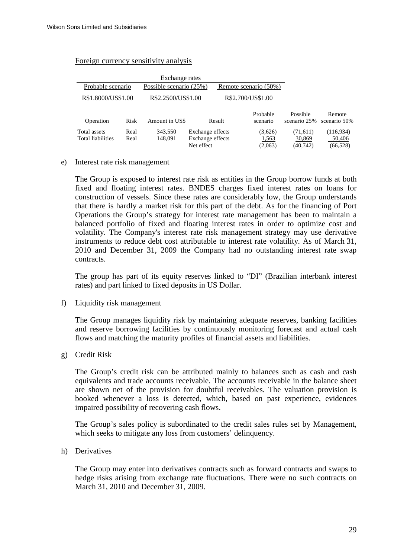#### Foreign currency sensitivity analysis

|                                   |              | Exchange rates          |                                                    |                   |                             |                                       |                                  |
|-----------------------------------|--------------|-------------------------|----------------------------------------------------|-------------------|-----------------------------|---------------------------------------|----------------------------------|
| Probable scenario                 |              | Possible scenario (25%) |                                                    |                   | Remote scenario (50%)       |                                       |                                  |
| R\$1.8000/US\$1.00                |              | R\$2.2500/US\$1.00      |                                                    | R\$2.700/US\$1.00 |                             |                                       |                                  |
| Operation                         | Risk         | Amount in US\$          |                                                    | Result            | Probable<br>scenario        | Possible<br>scenario 25%              | Remote<br>scenario 50%           |
| Total assets<br>Total liabilities | Real<br>Real | 343,550<br>148,091      | Exchange effects<br>Exchange effects<br>Net effect |                   | (3,626)<br>1,563<br>(2,063) | (71,611)<br>30,869<br><u>(40,742)</u> | (116,934)<br>50,406<br>(66, 528) |

#### e) Interest rate risk management

The Group is exposed to interest rate risk as entities in the Group borrow funds at both fixed and floating interest rates. BNDES charges fixed interest rates on loans for construction of vessels. Since these rates are considerably low, the Group understands that there is hardly a market risk for this part of the debt. As for the financing of Port Operations the Group's strategy for interest rate management has been to maintain a balanced portfolio of fixed and floating interest rates in order to optimize cost and volatility. The Company's interest rate risk management strategy may use derivative instruments to reduce debt cost attributable to interest rate volatility. As of March 31, 2010 and December 31, 2009 the Company had no outstanding interest rate swap contracts.

The group has part of its equity reserves linked to "DI" (Brazilian interbank interest rates) and part linked to fixed deposits in US Dollar.

f) Liquidity risk management

The Group manages liquidity risk by maintaining adequate reserves, banking facilities and reserve borrowing facilities by continuously monitoring forecast and actual cash flows and matching the maturity profiles of financial assets and liabilities.

g) Credit Risk

The Group's credit risk can be attributed mainly to balances such as cash and cash equivalents and trade accounts receivable. The accounts receivable in the balance sheet are shown net of the provision for doubtful receivables. The valuation provision is booked whenever a loss is detected, which, based on past experience, evidences impaired possibility of recovering cash flows.

The Group's sales policy is subordinated to the credit sales rules set by Management, which seeks to mitigate any loss from customers' delinquency.

h) Derivatives

The Group may enter into derivatives contracts such as forward contracts and swaps to hedge risks arising from exchange rate fluctuations. There were no such contracts on March 31, 2010 and December 31, 2009.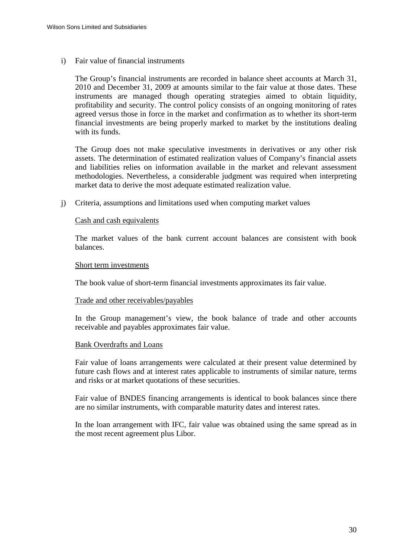i) Fair value of financial instruments

The Group's financial instruments are recorded in balance sheet accounts at March 31, 2010 and December 31, 2009 at amounts similar to the fair value at those dates. These instruments are managed though operating strategies aimed to obtain liquidity, profitability and security. The control policy consists of an ongoing monitoring of rates agreed versus those in force in the market and confirmation as to whether its short-term financial investments are being properly marked to market by the institutions dealing with its funds.

The Group does not make speculative investments in derivatives or any other risk assets. The determination of estimated realization values of Company's financial assets and liabilities relies on information available in the market and relevant assessment methodologies. Nevertheless, a considerable judgment was required when interpreting market data to derive the most adequate estimated realization value.

j) Criteria, assumptions and limitations used when computing market values

#### Cash and cash equivalents

The market values of the bank current account balances are consistent with book balances.

#### Short term investments

The book value of short-term financial investments approximates its fair value.

#### Trade and other receivables/payables

In the Group management's view, the book balance of trade and other accounts receivable and payables approximates fair value.

#### Bank Overdrafts and Loans

Fair value of loans arrangements were calculated at their present value determined by future cash flows and at interest rates applicable to instruments of similar nature, terms and risks or at market quotations of these securities.

Fair value of BNDES financing arrangements is identical to book balances since there are no similar instruments, with comparable maturity dates and interest rates.

In the loan arrangement with IFC, fair value was obtained using the same spread as in the most recent agreement plus Libor.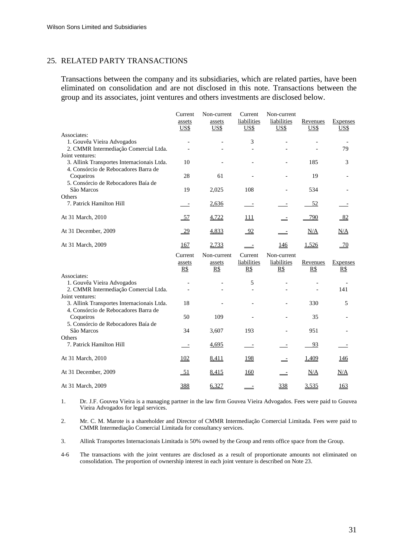#### 25. RELATED PARTY TRANSACTIONS

Transactions between the company and its subsidiaries, which are related parties, have been eliminated on consolidation and are not disclosed in this note. Transactions between the group and its associates, joint ventures and others investments are disclosed below.

|                                            | Current         | Non-current | Current        | Non-current    |              |             |
|--------------------------------------------|-----------------|-------------|----------------|----------------|--------------|-------------|
|                                            | assets          | assets      | liabilities    | liabilities    | Revenues     | Expenses    |
|                                            | US\$            | US\$        | US\$           | US\$           | US\$         | US\$        |
| Associates:                                |                 |             |                |                |              |             |
| 1. Gouvêa Vieira Advogados                 |                 |             | 3              | $\overline{a}$ |              |             |
| 2. CMMR Intermediação Comercial Ltda.      |                 |             |                |                |              | 79          |
| Joint ventures:                            |                 |             |                |                |              |             |
| 3. Allink Transportes Internacionais Ltda. | 10              |             |                |                | 185          | 3           |
| 4. Consórcio de Rebocadores Barra de       |                 |             |                |                |              |             |
| Coqueiros                                  | 28              | 61          |                |                | 19           |             |
| 5. Consórcio de Rebocadores Baía de        |                 |             |                |                |              |             |
| São Marcos                                 | 19              | 2,025       | 108            |                | 534          |             |
| Others                                     |                 |             |                |                |              |             |
| 7. Patrick Hamilton Hill                   | $\sim$          | 2,636       | $\sim$ $-$     |                | 52           |             |
|                                            |                 |             |                |                |              |             |
| At 31 March, 2010                          | $-57$           | 4,722       | <u> 111</u>    |                | 790          | $-82$       |
|                                            |                 |             |                |                |              |             |
| At 31 December, 2009                       | $\frac{29}{2}$  | 4,833       | $\frac{92}{2}$ |                | N/A          | N/A         |
|                                            |                 |             |                |                |              |             |
| At 31 March, 2009                          | <u>167</u>      | 2,733       | $\equiv$       | 146            | 1,526        | $-70$       |
|                                            |                 |             |                |                |              |             |
|                                            | Current         | Non-current | Current        | Non-current    |              |             |
|                                            | assets          | assets      | liabilities    | liabilities    | Revenues     | Expenses    |
|                                            | <u>R\$</u>      | <u>R\$</u>  | $R\$           | <u>R\$</u>     | $R\$         | <u>R\$</u>  |
| Associates:                                |                 |             |                |                |              |             |
| 1. Gouvêa Vieira Advogados                 |                 |             | 5              |                |              |             |
| 2. CMMR Intermediação Comercial Ltda.      |                 |             |                |                |              | 141         |
| Joint ventures:                            |                 |             |                |                |              |             |
| 3. Allink Transportes Internacionais Ltda. | 18              |             |                |                | 330          | 5           |
| 4. Consórcio de Rebocadores Barra de       |                 |             |                |                |              |             |
| Coqueiros                                  | 50              | 109         |                |                | 35           |             |
| 5. Consórcio de Rebocadores Baía de        |                 |             |                |                |              |             |
| São Marcos                                 | 34              | 3,607       | 193            |                | 951          |             |
| Others                                     |                 |             |                |                |              |             |
| 7. Patrick Hamilton Hill                   | $\sim$ $-$      | 4,695       | $\sim$         |                | 93           |             |
|                                            |                 |             |                |                |              |             |
| At 31 March, 2010                          | 102             | 8,411       | <u> 198</u>    | $\equiv$       | 1,409        | <u> 146</u> |
|                                            |                 |             |                |                |              |             |
| At 31 December, 2009                       | $\frac{-51}{2}$ | 8,415       | 160            |                | N/A          | N/A         |
|                                            |                 |             |                |                |              |             |
| At 31 March, 2009                          | 388             | 6,327       |                | 338            | <u>3,535</u> | <u>163</u>  |
|                                            |                 |             |                |                |              |             |

1. Dr. J.F. Gouvea Vieira is a managing partner in the law firm Gouvea Vieira Advogados. Fees were paid to Gouvea Vieira Advogados for legal services.

2. Mr. C. M. Marote is a shareholder and Director of CMMR Intermediação Comercial Limitada. Fees were paid to CMMR Intermediação Comercial Limitada for consultancy services.

3. Allink Transportes Internacionais Limitada is 50% owned by the Group and rents office space from the Group.

4-6 The transactions with the joint ventures are disclosed as a result of proportionate amounts not eliminated on consolidation. The proportion of ownership interest in each joint venture is described on Note 23.